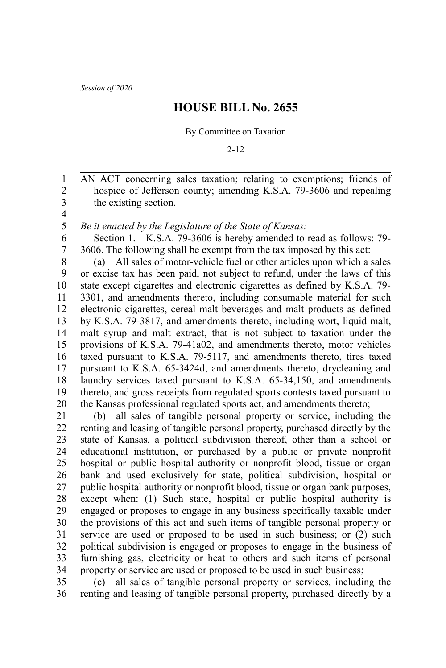*Session of 2020*

## **HOUSE BILL No. 2655**

By Committee on Taxation

2-12

AN ACT concerning sales taxation; relating to exemptions; friends of hospice of Jefferson county; amending K.S.A. 79-3606 and repealing the existing section.

3 4 5

1 2

*Be it enacted by the Legislature of the State of Kansas:*

Section 1. K.S.A. 79-3606 is hereby amended to read as follows: 79- 3606. The following shall be exempt from the tax imposed by this act: 6 7

(a) All sales of motor-vehicle fuel or other articles upon which a sales or excise tax has been paid, not subject to refund, under the laws of this state except cigarettes and electronic cigarettes as defined by K.S.A. 79- 3301, and amendments thereto, including consumable material for such electronic cigarettes, cereal malt beverages and malt products as defined by K.S.A. 79-3817, and amendments thereto, including wort, liquid malt, malt syrup and malt extract, that is not subject to taxation under the provisions of K.S.A. 79-41a02, and amendments thereto, motor vehicles taxed pursuant to K.S.A. 79-5117, and amendments thereto, tires taxed pursuant to K.S.A. 65-3424d, and amendments thereto, drycleaning and laundry services taxed pursuant to K.S.A. 65-34,150, and amendments thereto, and gross receipts from regulated sports contests taxed pursuant to the Kansas professional regulated sports act, and amendments thereto; 8 9 10 11 12 13 14 15 16 17 18 19 20

(b) all sales of tangible personal property or service, including the renting and leasing of tangible personal property, purchased directly by the state of Kansas, a political subdivision thereof, other than a school or educational institution, or purchased by a public or private nonprofit hospital or public hospital authority or nonprofit blood, tissue or organ bank and used exclusively for state, political subdivision, hospital or public hospital authority or nonprofit blood, tissue or organ bank purposes, except when: (1) Such state, hospital or public hospital authority is engaged or proposes to engage in any business specifically taxable under the provisions of this act and such items of tangible personal property or service are used or proposed to be used in such business; or (2) such political subdivision is engaged or proposes to engage in the business of furnishing gas, electricity or heat to others and such items of personal property or service are used or proposed to be used in such business; 21 22 23 24 25 26 27 28 29 30 31 32 33 34

(c) all sales of tangible personal property or services, including the renting and leasing of tangible personal property, purchased directly by a 35 36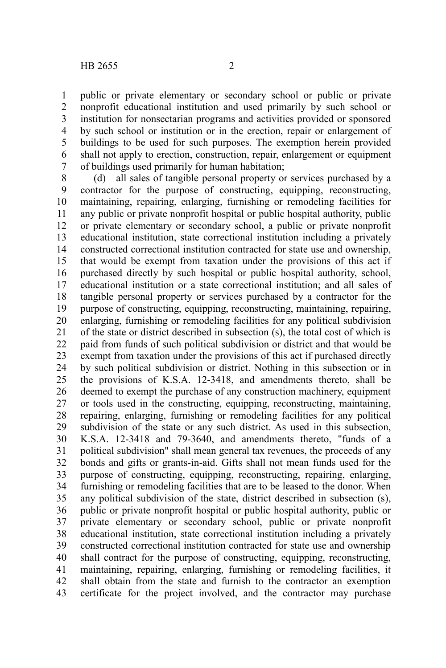public or private elementary or secondary school or public or private nonprofit educational institution and used primarily by such school or institution for nonsectarian programs and activities provided or sponsored by such school or institution or in the erection, repair or enlargement of buildings to be used for such purposes. The exemption herein provided shall not apply to erection, construction, repair, enlargement or equipment of buildings used primarily for human habitation; 1 2 3 4 5 6 7

(d) all sales of tangible personal property or services purchased by a contractor for the purpose of constructing, equipping, reconstructing, maintaining, repairing, enlarging, furnishing or remodeling facilities for any public or private nonprofit hospital or public hospital authority, public or private elementary or secondary school, a public or private nonprofit educational institution, state correctional institution including a privately constructed correctional institution contracted for state use and ownership, that would be exempt from taxation under the provisions of this act if purchased directly by such hospital or public hospital authority, school, educational institution or a state correctional institution; and all sales of tangible personal property or services purchased by a contractor for the purpose of constructing, equipping, reconstructing, maintaining, repairing, enlarging, furnishing or remodeling facilities for any political subdivision of the state or district described in subsection (s), the total cost of which is paid from funds of such political subdivision or district and that would be exempt from taxation under the provisions of this act if purchased directly by such political subdivision or district. Nothing in this subsection or in the provisions of K.S.A. 12-3418, and amendments thereto, shall be deemed to exempt the purchase of any construction machinery, equipment or tools used in the constructing, equipping, reconstructing, maintaining, repairing, enlarging, furnishing or remodeling facilities for any political subdivision of the state or any such district. As used in this subsection, K.S.A. 12-3418 and 79-3640, and amendments thereto, "funds of a political subdivision" shall mean general tax revenues, the proceeds of any bonds and gifts or grants-in-aid. Gifts shall not mean funds used for the purpose of constructing, equipping, reconstructing, repairing, enlarging, furnishing or remodeling facilities that are to be leased to the donor. When any political subdivision of the state, district described in subsection (s), public or private nonprofit hospital or public hospital authority, public or private elementary or secondary school, public or private nonprofit educational institution, state correctional institution including a privately constructed correctional institution contracted for state use and ownership shall contract for the purpose of constructing, equipping, reconstructing, maintaining, repairing, enlarging, furnishing or remodeling facilities, it shall obtain from the state and furnish to the contractor an exemption certificate for the project involved, and the contractor may purchase 8 9 10 11 12 13 14 15 16 17 18 19 20 21 22 23 24 25 26 27 28 29 30 31 32 33 34 35 36 37 38 39 40 41 42 43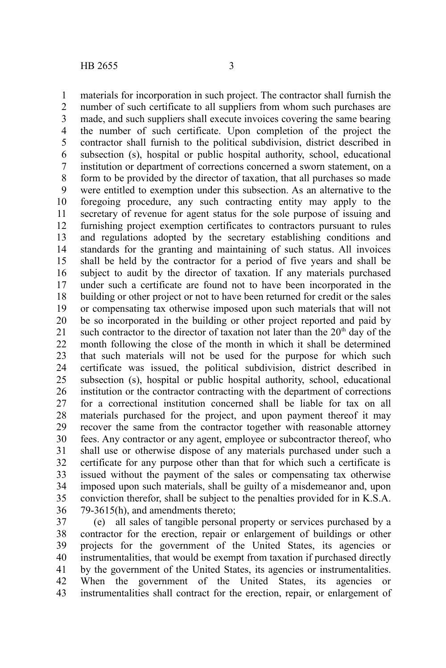materials for incorporation in such project. The contractor shall furnish the number of such certificate to all suppliers from whom such purchases are made, and such suppliers shall execute invoices covering the same bearing the number of such certificate. Upon completion of the project the contractor shall furnish to the political subdivision, district described in subsection (s), hospital or public hospital authority, school, educational institution or department of corrections concerned a sworn statement, on a form to be provided by the director of taxation, that all purchases so made were entitled to exemption under this subsection. As an alternative to the foregoing procedure, any such contracting entity may apply to the secretary of revenue for agent status for the sole purpose of issuing and furnishing project exemption certificates to contractors pursuant to rules and regulations adopted by the secretary establishing conditions and standards for the granting and maintaining of such status. All invoices shall be held by the contractor for a period of five years and shall be subject to audit by the director of taxation. If any materials purchased under such a certificate are found not to have been incorporated in the building or other project or not to have been returned for credit or the sales or compensating tax otherwise imposed upon such materials that will not be so incorporated in the building or other project reported and paid by such contractor to the director of taxation not later than the  $20<sup>th</sup>$  day of the month following the close of the month in which it shall be determined that such materials will not be used for the purpose for which such certificate was issued, the political subdivision, district described in subsection (s), hospital or public hospital authority, school, educational institution or the contractor contracting with the department of corrections for a correctional institution concerned shall be liable for tax on all materials purchased for the project, and upon payment thereof it may recover the same from the contractor together with reasonable attorney fees. Any contractor or any agent, employee or subcontractor thereof, who shall use or otherwise dispose of any materials purchased under such a certificate for any purpose other than that for which such a certificate is issued without the payment of the sales or compensating tax otherwise imposed upon such materials, shall be guilty of a misdemeanor and, upon conviction therefor, shall be subject to the penalties provided for in K.S.A. 79-3615(h), and amendments thereto; 1 2 3 4 5 6 7 8 9 10 11 12 13 14 15 16 17 18 19 20 21 22 23 24 25 26 27 28 29 30 31 32 33 34 35 36

(e) all sales of tangible personal property or services purchased by a contractor for the erection, repair or enlargement of buildings or other projects for the government of the United States, its agencies or instrumentalities, that would be exempt from taxation if purchased directly by the government of the United States, its agencies or instrumentalities. When the government of the United States, its agencies or instrumentalities shall contract for the erection, repair, or enlargement of 37 38 39 40 41 42 43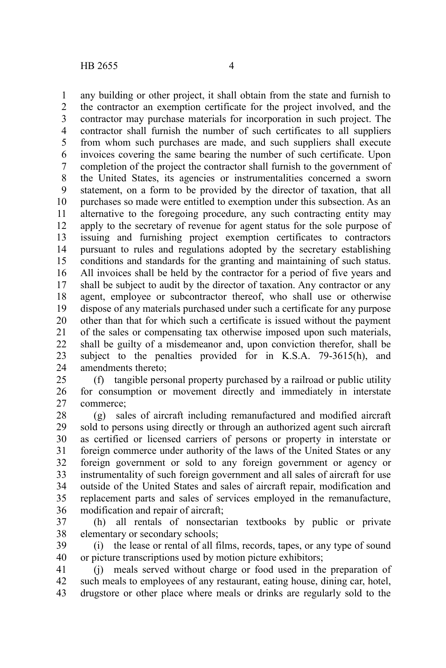any building or other project, it shall obtain from the state and furnish to the contractor an exemption certificate for the project involved, and the contractor may purchase materials for incorporation in such project. The contractor shall furnish the number of such certificates to all suppliers from whom such purchases are made, and such suppliers shall execute invoices covering the same bearing the number of such certificate. Upon completion of the project the contractor shall furnish to the government of the United States, its agencies or instrumentalities concerned a sworn statement, on a form to be provided by the director of taxation, that all purchases so made were entitled to exemption under this subsection. As an alternative to the foregoing procedure, any such contracting entity may apply to the secretary of revenue for agent status for the sole purpose of issuing and furnishing project exemption certificates to contractors pursuant to rules and regulations adopted by the secretary establishing conditions and standards for the granting and maintaining of such status. All invoices shall be held by the contractor for a period of five years and shall be subject to audit by the director of taxation. Any contractor or any agent, employee or subcontractor thereof, who shall use or otherwise dispose of any materials purchased under such a certificate for any purpose other than that for which such a certificate is issued without the payment of the sales or compensating tax otherwise imposed upon such materials, shall be guilty of a misdemeanor and, upon conviction therefor, shall be subject to the penalties provided for in K.S.A. 79-3615(h), and amendments thereto; 1 2 3 4 5 6 7 8 9 10 11 12 13 14 15 16 17 18 19 20 21 22 23 24

(f) tangible personal property purchased by a railroad or public utility for consumption or movement directly and immediately in interstate commerce; 25 26 27

(g) sales of aircraft including remanufactured and modified aircraft sold to persons using directly or through an authorized agent such aircraft as certified or licensed carriers of persons or property in interstate or foreign commerce under authority of the laws of the United States or any foreign government or sold to any foreign government or agency or instrumentality of such foreign government and all sales of aircraft for use outside of the United States and sales of aircraft repair, modification and replacement parts and sales of services employed in the remanufacture, modification and repair of aircraft; 28 29 30 31 32 33 34 35 36

(h) all rentals of nonsectarian textbooks by public or private elementary or secondary schools; 37 38

(i) the lease or rental of all films, records, tapes, or any type of sound or picture transcriptions used by motion picture exhibitors; 39 40

(j) meals served without charge or food used in the preparation of such meals to employees of any restaurant, eating house, dining car, hotel, drugstore or other place where meals or drinks are regularly sold to the 41 42 43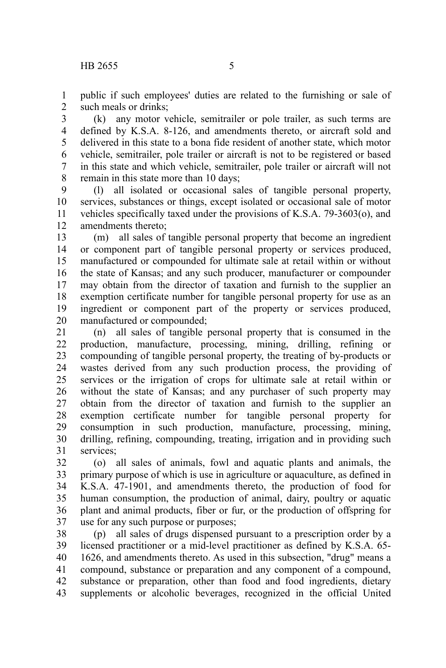public if such employees' duties are related to the furnishing or sale of such meals or drinks; 1 2

(k) any motor vehicle, semitrailer or pole trailer, as such terms are defined by K.S.A. 8-126, and amendments thereto, or aircraft sold and delivered in this state to a bona fide resident of another state, which motor vehicle, semitrailer, pole trailer or aircraft is not to be registered or based in this state and which vehicle, semitrailer, pole trailer or aircraft will not remain in this state more than 10 days; 3 4 5 6 7 8

(l) all isolated or occasional sales of tangible personal property, services, substances or things, except isolated or occasional sale of motor vehicles specifically taxed under the provisions of K.S.A. 79-3603(o), and amendments thereto; 9 10 11 12

(m) all sales of tangible personal property that become an ingredient or component part of tangible personal property or services produced, manufactured or compounded for ultimate sale at retail within or without the state of Kansas; and any such producer, manufacturer or compounder may obtain from the director of taxation and furnish to the supplier an exemption certificate number for tangible personal property for use as an ingredient or component part of the property or services produced, manufactured or compounded; 13 14 15 16 17 18 19 20

(n) all sales of tangible personal property that is consumed in the production, manufacture, processing, mining, drilling, refining or compounding of tangible personal property, the treating of by-products or wastes derived from any such production process, the providing of services or the irrigation of crops for ultimate sale at retail within or without the state of Kansas; and any purchaser of such property may obtain from the director of taxation and furnish to the supplier an exemption certificate number for tangible personal property for consumption in such production, manufacture, processing, mining, drilling, refining, compounding, treating, irrigation and in providing such services; 21 22 23 24 25 26 27 28 29 30 31

(o) all sales of animals, fowl and aquatic plants and animals, the primary purpose of which is use in agriculture or aquaculture, as defined in K.S.A. 47-1901, and amendments thereto, the production of food for human consumption, the production of animal, dairy, poultry or aquatic plant and animal products, fiber or fur, or the production of offspring for use for any such purpose or purposes; 32 33 34 35 36 37

(p) all sales of drugs dispensed pursuant to a prescription order by a licensed practitioner or a mid-level practitioner as defined by K.S.A. 65- 1626, and amendments thereto. As used in this subsection, "drug" means a compound, substance or preparation and any component of a compound, substance or preparation, other than food and food ingredients, dietary supplements or alcoholic beverages, recognized in the official United 38 39 40 41 42 43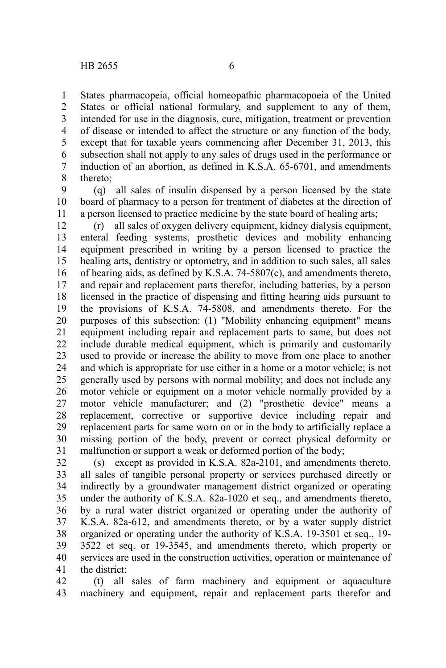States pharmacopeia, official homeopathic pharmacopoeia of the United States or official national formulary, and supplement to any of them, intended for use in the diagnosis, cure, mitigation, treatment or prevention of disease or intended to affect the structure or any function of the body, except that for taxable years commencing after December 31, 2013, this subsection shall not apply to any sales of drugs used in the performance or induction of an abortion, as defined in K.S.A. 65-6701, and amendments thereto; 1 2 3 4 5 6 7 8

(q) all sales of insulin dispensed by a person licensed by the state board of pharmacy to a person for treatment of diabetes at the direction of a person licensed to practice medicine by the state board of healing arts; 9 10 11

(r) all sales of oxygen delivery equipment, kidney dialysis equipment, enteral feeding systems, prosthetic devices and mobility enhancing equipment prescribed in writing by a person licensed to practice the healing arts, dentistry or optometry, and in addition to such sales, all sales of hearing aids, as defined by K.S.A. 74-5807(c), and amendments thereto, and repair and replacement parts therefor, including batteries, by a person licensed in the practice of dispensing and fitting hearing aids pursuant to the provisions of K.S.A. 74-5808, and amendments thereto. For the purposes of this subsection: (1) "Mobility enhancing equipment" means equipment including repair and replacement parts to same, but does not include durable medical equipment, which is primarily and customarily used to provide or increase the ability to move from one place to another and which is appropriate for use either in a home or a motor vehicle; is not generally used by persons with normal mobility; and does not include any motor vehicle or equipment on a motor vehicle normally provided by a motor vehicle manufacturer; and (2) "prosthetic device" means a replacement, corrective or supportive device including repair and replacement parts for same worn on or in the body to artificially replace a missing portion of the body, prevent or correct physical deformity or malfunction or support a weak or deformed portion of the body; 12 13 14 15 16 17 18 19 20 21 22 23 24 25 26 27 28 29 30 31

(s) except as provided in K.S.A. 82a-2101, and amendments thereto, all sales of tangible personal property or services purchased directly or indirectly by a groundwater management district organized or operating under the authority of K.S.A. 82a-1020 et seq., and amendments thereto, by a rural water district organized or operating under the authority of K.S.A. 82a-612, and amendments thereto, or by a water supply district organized or operating under the authority of K.S.A. 19-3501 et seq., 19- 3522 et seq. or 19-3545, and amendments thereto, which property or services are used in the construction activities, operation or maintenance of the district; 32 33 34 35 36 37 38 39 40 41

(t) all sales of farm machinery and equipment or aquaculture machinery and equipment, repair and replacement parts therefor and 42 43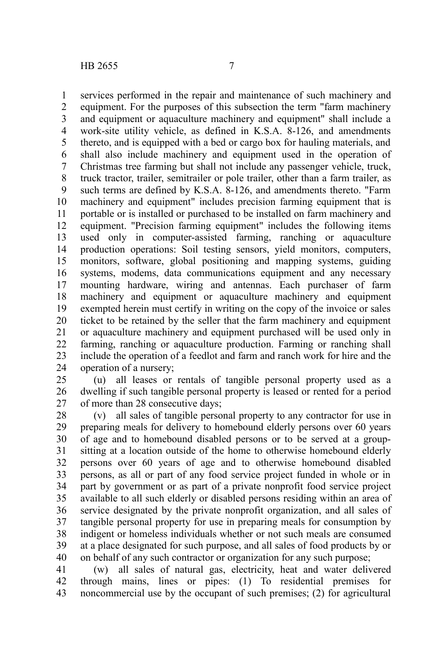services performed in the repair and maintenance of such machinery and equipment. For the purposes of this subsection the term "farm machinery and equipment or aquaculture machinery and equipment" shall include a work-site utility vehicle, as defined in K.S.A. 8-126, and amendments thereto, and is equipped with a bed or cargo box for hauling materials, and shall also include machinery and equipment used in the operation of Christmas tree farming but shall not include any passenger vehicle, truck, truck tractor, trailer, semitrailer or pole trailer, other than a farm trailer, as such terms are defined by K.S.A. 8-126, and amendments thereto. "Farm machinery and equipment" includes precision farming equipment that is portable or is installed or purchased to be installed on farm machinery and equipment. "Precision farming equipment" includes the following items used only in computer-assisted farming, ranching or aquaculture production operations: Soil testing sensors, yield monitors, computers, monitors, software, global positioning and mapping systems, guiding systems, modems, data communications equipment and any necessary mounting hardware, wiring and antennas. Each purchaser of farm machinery and equipment or aquaculture machinery and equipment exempted herein must certify in writing on the copy of the invoice or sales ticket to be retained by the seller that the farm machinery and equipment or aquaculture machinery and equipment purchased will be used only in farming, ranching or aquaculture production. Farming or ranching shall include the operation of a feedlot and farm and ranch work for hire and the operation of a nursery; 1 2 3 4 5 6 7 8 9 10 11 12 13 14 15 16 17 18 19 20 21 22 23 24

(u) all leases or rentals of tangible personal property used as a dwelling if such tangible personal property is leased or rented for a period of more than 28 consecutive days; 25 26 27

(v) all sales of tangible personal property to any contractor for use in preparing meals for delivery to homebound elderly persons over 60 years of age and to homebound disabled persons or to be served at a groupsitting at a location outside of the home to otherwise homebound elderly persons over 60 years of age and to otherwise homebound disabled persons, as all or part of any food service project funded in whole or in part by government or as part of a private nonprofit food service project available to all such elderly or disabled persons residing within an area of service designated by the private nonprofit organization, and all sales of tangible personal property for use in preparing meals for consumption by indigent or homeless individuals whether or not such meals are consumed at a place designated for such purpose, and all sales of food products by or on behalf of any such contractor or organization for any such purpose; 28 29 30 31 32 33 34 35 36 37 38 39 40

(w) all sales of natural gas, electricity, heat and water delivered through mains, lines or pipes: (1) To residential premises for noncommercial use by the occupant of such premises; (2) for agricultural 41 42 43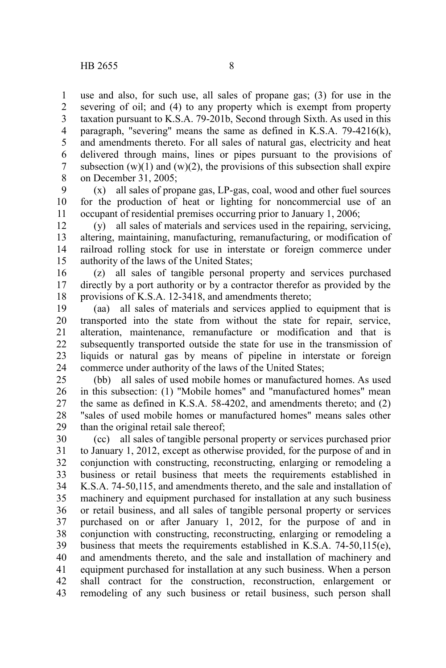use and also, for such use, all sales of propane gas; (3) for use in the severing of oil; and (4) to any property which is exempt from property taxation pursuant to K.S.A. 79-201b, Second through Sixth. As used in this paragraph, "severing" means the same as defined in K.S.A. 79-4216(k), and amendments thereto. For all sales of natural gas, electricity and heat delivered through mains, lines or pipes pursuant to the provisions of subsection  $(w)(1)$  and  $(w)(2)$ , the provisions of this subsection shall expire on December 31, 2005; 1 2 3 4 5 6 7 8

(x) all sales of propane gas, LP-gas, coal, wood and other fuel sources for the production of heat or lighting for noncommercial use of an occupant of residential premises occurring prior to January 1, 2006; 9 10 11

(y) all sales of materials and services used in the repairing, servicing, altering, maintaining, manufacturing, remanufacturing, or modification of railroad rolling stock for use in interstate or foreign commerce under authority of the laws of the United States; 12 13 14 15

(z) all sales of tangible personal property and services purchased directly by a port authority or by a contractor therefor as provided by the provisions of K.S.A. 12-3418, and amendments thereto; 16 17 18

(aa) all sales of materials and services applied to equipment that is transported into the state from without the state for repair, service, alteration, maintenance, remanufacture or modification and that is subsequently transported outside the state for use in the transmission of liquids or natural gas by means of pipeline in interstate or foreign commerce under authority of the laws of the United States; 19 20 21 22 23 24

(bb) all sales of used mobile homes or manufactured homes. As used in this subsection: (1) "Mobile homes" and "manufactured homes" mean the same as defined in K.S.A. 58-4202, and amendments thereto; and (2) "sales of used mobile homes or manufactured homes" means sales other than the original retail sale thereof; 25 26 27 28 29

(cc) all sales of tangible personal property or services purchased prior to January 1, 2012, except as otherwise provided, for the purpose of and in conjunction with constructing, reconstructing, enlarging or remodeling a business or retail business that meets the requirements established in K.S.A. 74-50,115, and amendments thereto, and the sale and installation of machinery and equipment purchased for installation at any such business or retail business, and all sales of tangible personal property or services purchased on or after January 1, 2012, for the purpose of and in conjunction with constructing, reconstructing, enlarging or remodeling a business that meets the requirements established in K.S.A. 74-50,115(e), and amendments thereto, and the sale and installation of machinery and equipment purchased for installation at any such business. When a person shall contract for the construction, reconstruction, enlargement or remodeling of any such business or retail business, such person shall 30 31 32 33 34 35 36 37 38 39 40 41 42 43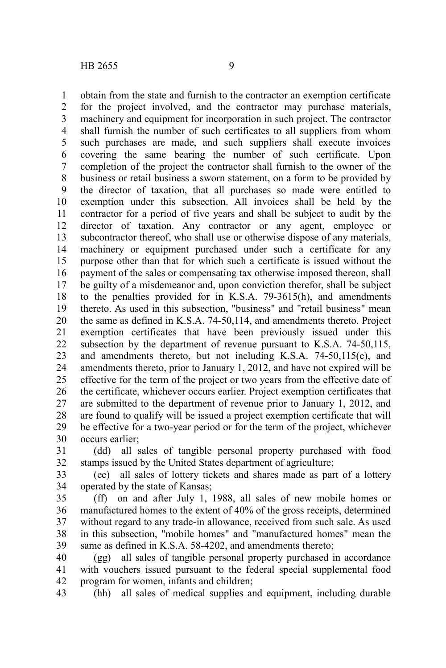obtain from the state and furnish to the contractor an exemption certificate for the project involved, and the contractor may purchase materials, machinery and equipment for incorporation in such project. The contractor shall furnish the number of such certificates to all suppliers from whom such purchases are made, and such suppliers shall execute invoices covering the same bearing the number of such certificate. Upon completion of the project the contractor shall furnish to the owner of the business or retail business a sworn statement, on a form to be provided by the director of taxation, that all purchases so made were entitled to exemption under this subsection. All invoices shall be held by the contractor for a period of five years and shall be subject to audit by the director of taxation. Any contractor or any agent, employee or subcontractor thereof, who shall use or otherwise dispose of any materials, machinery or equipment purchased under such a certificate for any purpose other than that for which such a certificate is issued without the payment of the sales or compensating tax otherwise imposed thereon, shall be guilty of a misdemeanor and, upon conviction therefor, shall be subject to the penalties provided for in K.S.A. 79-3615(h), and amendments thereto. As used in this subsection, "business" and "retail business" mean the same as defined in K.S.A. 74-50,114, and amendments thereto. Project exemption certificates that have been previously issued under this subsection by the department of revenue pursuant to K.S.A. 74-50,115, and amendments thereto, but not including K.S.A. 74-50,115(e), and amendments thereto, prior to January 1, 2012, and have not expired will be effective for the term of the project or two years from the effective date of the certificate, whichever occurs earlier. Project exemption certificates that are submitted to the department of revenue prior to January 1, 2012, and are found to qualify will be issued a project exemption certificate that will be effective for a two-year period or for the term of the project, whichever occurs earlier; 1 2 3 4 5 6 7 8 9 10 11 12 13 14 15 16 17 18 19 20 21 22 23 24 25 26 27 28 29 30

(dd) all sales of tangible personal property purchased with food stamps issued by the United States department of agriculture; 31 32

(ee) all sales of lottery tickets and shares made as part of a lottery operated by the state of Kansas; 33 34

(ff) on and after July 1, 1988, all sales of new mobile homes or manufactured homes to the extent of 40% of the gross receipts, determined without regard to any trade-in allowance, received from such sale. As used in this subsection, "mobile homes" and "manufactured homes" mean the same as defined in K.S.A. 58-4202, and amendments thereto; 35 36 37 38 39

(gg) all sales of tangible personal property purchased in accordance with vouchers issued pursuant to the federal special supplemental food program for women, infants and children; 40 41 42

(hh) all sales of medical supplies and equipment, including durable 43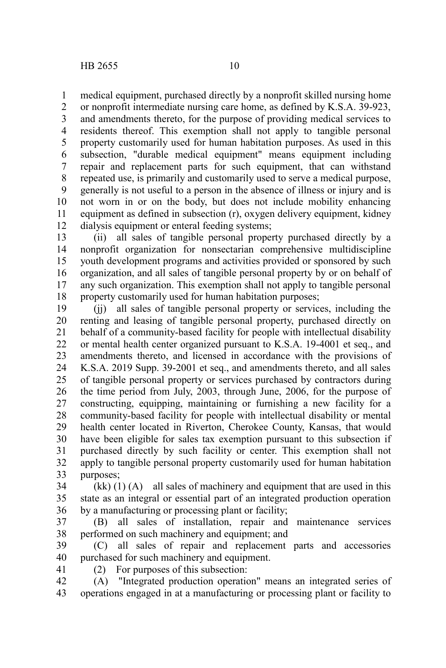medical equipment, purchased directly by a nonprofit skilled nursing home 1

or nonprofit intermediate nursing care home, as defined by K.S.A. 39-923, and amendments thereto, for the purpose of providing medical services to residents thereof. This exemption shall not apply to tangible personal property customarily used for human habitation purposes. As used in this subsection, "durable medical equipment" means equipment including repair and replacement parts for such equipment, that can withstand repeated use, is primarily and customarily used to serve a medical purpose, generally is not useful to a person in the absence of illness or injury and is not worn in or on the body, but does not include mobility enhancing equipment as defined in subsection (r), oxygen delivery equipment, kidney dialysis equipment or enteral feeding systems; 2 3 4 5 6 7 8 9 10 11 12

(ii) all sales of tangible personal property purchased directly by a nonprofit organization for nonsectarian comprehensive multidiscipline youth development programs and activities provided or sponsored by such organization, and all sales of tangible personal property by or on behalf of any such organization. This exemption shall not apply to tangible personal property customarily used for human habitation purposes; 13 14 15 16 17 18

(jj) all sales of tangible personal property or services, including the renting and leasing of tangible personal property, purchased directly on behalf of a community-based facility for people with intellectual disability or mental health center organized pursuant to K.S.A. 19-4001 et seq., and amendments thereto, and licensed in accordance with the provisions of K.S.A. 2019 Supp. 39-2001 et seq., and amendments thereto, and all sales of tangible personal property or services purchased by contractors during the time period from July, 2003, through June, 2006, for the purpose of constructing, equipping, maintaining or furnishing a new facility for a community-based facility for people with intellectual disability or mental health center located in Riverton, Cherokee County, Kansas, that would have been eligible for sales tax exemption pursuant to this subsection if purchased directly by such facility or center. This exemption shall not apply to tangible personal property customarily used for human habitation purposes; 19 20 21 22 23 24 25 26 27 28 29 30 31 32 33

 $(kk)$  (1) (A) all sales of machinery and equipment that are used in this state as an integral or essential part of an integrated production operation by a manufacturing or processing plant or facility; 34 35 36

(B) all sales of installation, repair and maintenance services performed on such machinery and equipment; and 37 38

(C) all sales of repair and replacement parts and accessories purchased for such machinery and equipment. 39 40

41

(2) For purposes of this subsection:

(A) "Integrated production operation" means an integrated series of operations engaged in at a manufacturing or processing plant or facility to 42 43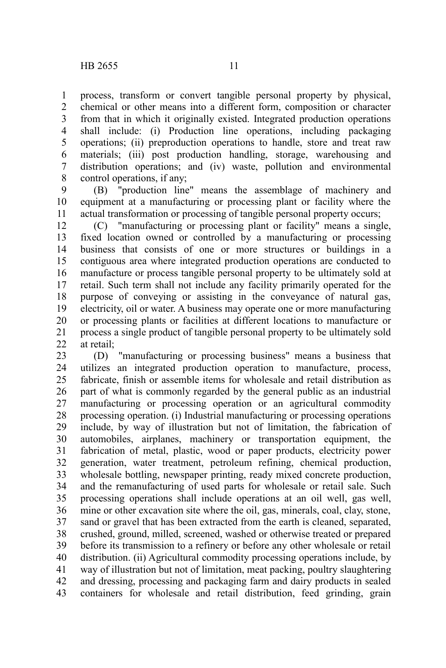process, transform or convert tangible personal property by physical, chemical or other means into a different form, composition or character from that in which it originally existed. Integrated production operations shall include: (i) Production line operations, including packaging operations; (ii) preproduction operations to handle, store and treat raw materials; (iii) post production handling, storage, warehousing and distribution operations; and (iv) waste, pollution and environmental control operations, if any; 1 2 3 4 5 6 7 8

(B) "production line" means the assemblage of machinery and equipment at a manufacturing or processing plant or facility where the actual transformation or processing of tangible personal property occurs; 9 10 11

(C) "manufacturing or processing plant or facility" means a single, fixed location owned or controlled by a manufacturing or processing business that consists of one or more structures or buildings in a contiguous area where integrated production operations are conducted to manufacture or process tangible personal property to be ultimately sold at retail. Such term shall not include any facility primarily operated for the purpose of conveying or assisting in the conveyance of natural gas, electricity, oil or water. A business may operate one or more manufacturing or processing plants or facilities at different locations to manufacture or process a single product of tangible personal property to be ultimately sold at retail; 12 13 14 15 16 17 18 19 20 21 22

(D) "manufacturing or processing business" means a business that utilizes an integrated production operation to manufacture, process, fabricate, finish or assemble items for wholesale and retail distribution as part of what is commonly regarded by the general public as an industrial manufacturing or processing operation or an agricultural commodity processing operation. (i) Industrial manufacturing or processing operations include, by way of illustration but not of limitation, the fabrication of automobiles, airplanes, machinery or transportation equipment, the fabrication of metal, plastic, wood or paper products, electricity power generation, water treatment, petroleum refining, chemical production, wholesale bottling, newspaper printing, ready mixed concrete production, and the remanufacturing of used parts for wholesale or retail sale. Such processing operations shall include operations at an oil well, gas well, mine or other excavation site where the oil, gas, minerals, coal, clay, stone, sand or gravel that has been extracted from the earth is cleaned, separated, crushed, ground, milled, screened, washed or otherwise treated or prepared before its transmission to a refinery or before any other wholesale or retail distribution. (ii) Agricultural commodity processing operations include, by way of illustration but not of limitation, meat packing, poultry slaughtering and dressing, processing and packaging farm and dairy products in sealed containers for wholesale and retail distribution, feed grinding, grain 23 24 25 26 27 28 29 30 31 32 33 34 35 36 37 38 39 40 41 42 43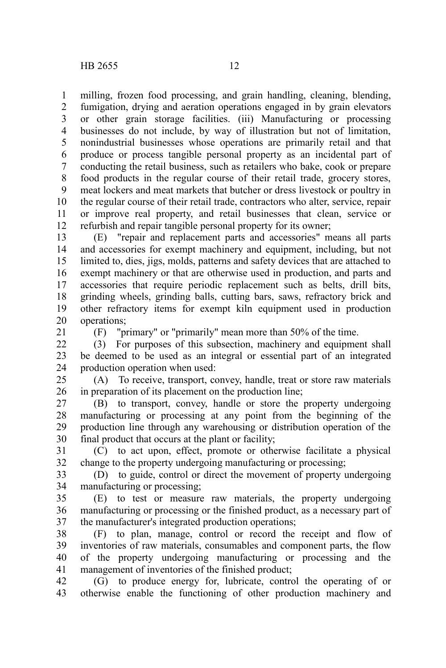milling, frozen food processing, and grain handling, cleaning, blending, fumigation, drying and aeration operations engaged in by grain elevators or other grain storage facilities. (iii) Manufacturing or processing businesses do not include, by way of illustration but not of limitation, nonindustrial businesses whose operations are primarily retail and that produce or process tangible personal property as an incidental part of conducting the retail business, such as retailers who bake, cook or prepare food products in the regular course of their retail trade, grocery stores, meat lockers and meat markets that butcher or dress livestock or poultry in the regular course of their retail trade, contractors who alter, service, repair or improve real property, and retail businesses that clean, service or refurbish and repair tangible personal property for its owner; 1 2 3 4 5 6 7 8 9 10 11 12

(E) "repair and replacement parts and accessories" means all parts and accessories for exempt machinery and equipment, including, but not limited to, dies, jigs, molds, patterns and safety devices that are attached to exempt machinery or that are otherwise used in production, and parts and accessories that require periodic replacement such as belts, drill bits, grinding wheels, grinding balls, cutting bars, saws, refractory brick and other refractory items for exempt kiln equipment used in production operations; 13 14 15 16 17 18 19 20

21

(F) "primary" or "primarily" mean more than 50% of the time.

(3) For purposes of this subsection, machinery and equipment shall be deemed to be used as an integral or essential part of an integrated production operation when used: 22 23 24

(A) To receive, transport, convey, handle, treat or store raw materials in preparation of its placement on the production line; 25 26

(B) to transport, convey, handle or store the property undergoing manufacturing or processing at any point from the beginning of the production line through any warehousing or distribution operation of the final product that occurs at the plant or facility; 27 28 29 30

(C) to act upon, effect, promote or otherwise facilitate a physical change to the property undergoing manufacturing or processing; 31 32

(D) to guide, control or direct the movement of property undergoing manufacturing or processing; 33 34

(E) to test or measure raw materials, the property undergoing manufacturing or processing or the finished product, as a necessary part of the manufacturer's integrated production operations; 35 36 37

(F) to plan, manage, control or record the receipt and flow of inventories of raw materials, consumables and component parts, the flow of the property undergoing manufacturing or processing and the management of inventories of the finished product; 38 39 40 41

(G) to produce energy for, lubricate, control the operating of or otherwise enable the functioning of other production machinery and 42 43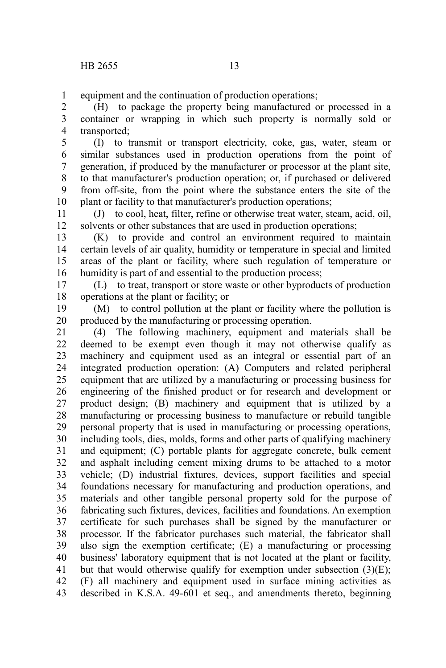equipment and the continuation of production operations; 1

(H) to package the property being manufactured or processed in a container or wrapping in which such property is normally sold or transported; 2 3 4

(I) to transmit or transport electricity, coke, gas, water, steam or similar substances used in production operations from the point of generation, if produced by the manufacturer or processor at the plant site, to that manufacturer's production operation; or, if purchased or delivered from off-site, from the point where the substance enters the site of the plant or facility to that manufacturer's production operations; 5 6 7 8 9 10

(J) to cool, heat, filter, refine or otherwise treat water, steam, acid, oil, solvents or other substances that are used in production operations; 11 12

(K) to provide and control an environment required to maintain certain levels of air quality, humidity or temperature in special and limited areas of the plant or facility, where such regulation of temperature or humidity is part of and essential to the production process; 13 14 15 16

(L) to treat, transport or store waste or other byproducts of production operations at the plant or facility; or 17 18

(M) to control pollution at the plant or facility where the pollution is produced by the manufacturing or processing operation. 19 20

(4) The following machinery, equipment and materials shall be deemed to be exempt even though it may not otherwise qualify as machinery and equipment used as an integral or essential part of an integrated production operation: (A) Computers and related peripheral equipment that are utilized by a manufacturing or processing business for engineering of the finished product or for research and development or product design; (B) machinery and equipment that is utilized by a manufacturing or processing business to manufacture or rebuild tangible personal property that is used in manufacturing or processing operations, including tools, dies, molds, forms and other parts of qualifying machinery and equipment; (C) portable plants for aggregate concrete, bulk cement and asphalt including cement mixing drums to be attached to a motor vehicle; (D) industrial fixtures, devices, support facilities and special foundations necessary for manufacturing and production operations, and materials and other tangible personal property sold for the purpose of fabricating such fixtures, devices, facilities and foundations. An exemption certificate for such purchases shall be signed by the manufacturer or processor. If the fabricator purchases such material, the fabricator shall also sign the exemption certificate; (E) a manufacturing or processing business' laboratory equipment that is not located at the plant or facility, but that would otherwise qualify for exemption under subsection  $(3)(E)$ ; (F) all machinery and equipment used in surface mining activities as described in K.S.A. 49-601 et seq., and amendments thereto, beginning 21 22 23 24 25 26 27 28 29 30 31 32 33 34 35 36 37 38 39 40 41 42 43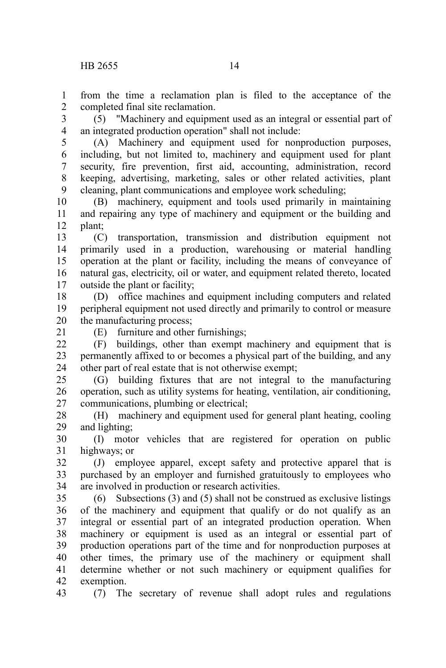from the time a reclamation plan is filed to the acceptance of the completed final site reclamation. 1 2

(5) "Machinery and equipment used as an integral or essential part of an integrated production operation" shall not include: 3 4

(A) Machinery and equipment used for nonproduction purposes, including, but not limited to, machinery and equipment used for plant security, fire prevention, first aid, accounting, administration, record keeping, advertising, marketing, sales or other related activities, plant cleaning, plant communications and employee work scheduling; 5 6 7 8 9

(B) machinery, equipment and tools used primarily in maintaining and repairing any type of machinery and equipment or the building and plant; 10 11 12

(C) transportation, transmission and distribution equipment not primarily used in a production, warehousing or material handling operation at the plant or facility, including the means of conveyance of natural gas, electricity, oil or water, and equipment related thereto, located outside the plant or facility; 13 14 15 16 17

(D) office machines and equipment including computers and related peripheral equipment not used directly and primarily to control or measure the manufacturing process; 18 19 20

21

(E) furniture and other furnishings;

(F) buildings, other than exempt machinery and equipment that is permanently affixed to or becomes a physical part of the building, and any other part of real estate that is not otherwise exempt;  $22$ 23 24

(G) building fixtures that are not integral to the manufacturing operation, such as utility systems for heating, ventilation, air conditioning, communications, plumbing or electrical; 25 26 27

(H) machinery and equipment used for general plant heating, cooling and lighting; 28 29

(I) motor vehicles that are registered for operation on public highways; or 30 31

(J) employee apparel, except safety and protective apparel that is purchased by an employer and furnished gratuitously to employees who are involved in production or research activities. 32 33 34

(6) Subsections (3) and (5) shall not be construed as exclusive listings of the machinery and equipment that qualify or do not qualify as an integral or essential part of an integrated production operation. When machinery or equipment is used as an integral or essential part of production operations part of the time and for nonproduction purposes at other times, the primary use of the machinery or equipment shall determine whether or not such machinery or equipment qualifies for exemption. 35 36 37 38 39 40 41 42

43

(7) The secretary of revenue shall adopt rules and regulations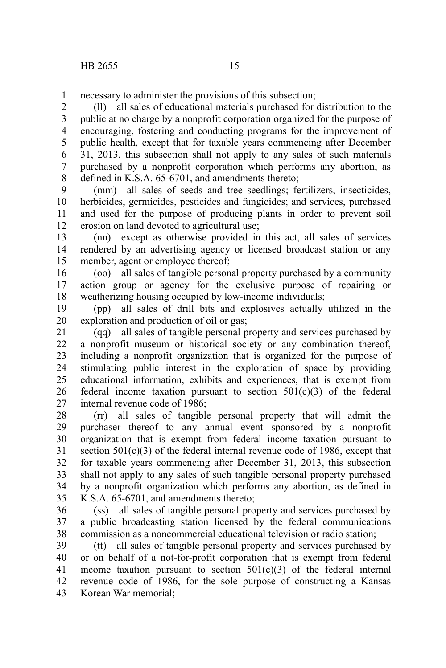necessary to administer the provisions of this subsection; 1

(ll) all sales of educational materials purchased for distribution to the public at no charge by a nonprofit corporation organized for the purpose of encouraging, fostering and conducting programs for the improvement of public health, except that for taxable years commencing after December 31, 2013, this subsection shall not apply to any sales of such materials purchased by a nonprofit corporation which performs any abortion, as defined in K.S.A. 65-6701, and amendments thereto; 2 3 4 5 6 7 8

(mm) all sales of seeds and tree seedlings; fertilizers, insecticides, herbicides, germicides, pesticides and fungicides; and services, purchased and used for the purpose of producing plants in order to prevent soil erosion on land devoted to agricultural use; 9 10 11 12

(nn) except as otherwise provided in this act, all sales of services rendered by an advertising agency or licensed broadcast station or any member, agent or employee thereof; 13 14 15

(oo) all sales of tangible personal property purchased by a community action group or agency for the exclusive purpose of repairing or weatherizing housing occupied by low-income individuals; 16 17 18

(pp) all sales of drill bits and explosives actually utilized in the exploration and production of oil or gas; 19 20

(qq) all sales of tangible personal property and services purchased by a nonprofit museum or historical society or any combination thereof, including a nonprofit organization that is organized for the purpose of stimulating public interest in the exploration of space by providing educational information, exhibits and experiences, that is exempt from federal income taxation pursuant to section  $501(c)(3)$  of the federal internal revenue code of 1986; 21 22 23 24 25 26 27

(rr) all sales of tangible personal property that will admit the purchaser thereof to any annual event sponsored by a nonprofit organization that is exempt from federal income taxation pursuant to section 501(c)(3) of the federal internal revenue code of 1986, except that for taxable years commencing after December 31, 2013, this subsection shall not apply to any sales of such tangible personal property purchased by a nonprofit organization which performs any abortion, as defined in K.S.A. 65-6701, and amendments thereto; 28 29 30 31 32 33 34 35

(ss) all sales of tangible personal property and services purchased by a public broadcasting station licensed by the federal communications commission as a noncommercial educational television or radio station; 36 37 38

(tt) all sales of tangible personal property and services purchased by or on behalf of a not-for-profit corporation that is exempt from federal income taxation pursuant to section  $501(c)(3)$  of the federal internal revenue code of 1986, for the sole purpose of constructing a Kansas Korean War memorial; 39 40 41 42 43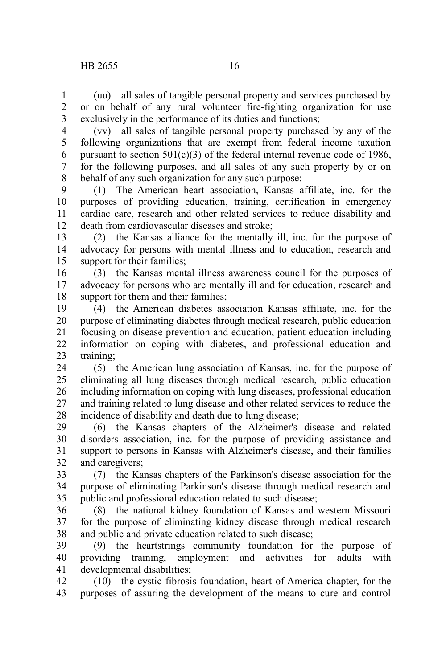(uu) all sales of tangible personal property and services purchased by or on behalf of any rural volunteer fire-fighting organization for use exclusively in the performance of its duties and functions; 1 2 3

(vv) all sales of tangible personal property purchased by any of the following organizations that are exempt from federal income taxation pursuant to section  $501(c)(3)$  of the federal internal revenue code of 1986, for the following purposes, and all sales of any such property by or on behalf of any such organization for any such purpose: 4 5 6 7 8

(1) The American heart association, Kansas affiliate, inc. for the purposes of providing education, training, certification in emergency cardiac care, research and other related services to reduce disability and death from cardiovascular diseases and stroke; 9 10 11 12

(2) the Kansas alliance for the mentally ill, inc. for the purpose of advocacy for persons with mental illness and to education, research and support for their families; 13 14 15

(3) the Kansas mental illness awareness council for the purposes of advocacy for persons who are mentally ill and for education, research and support for them and their families: 16 17 18

(4) the American diabetes association Kansas affiliate, inc. for the purpose of eliminating diabetes through medical research, public education focusing on disease prevention and education, patient education including information on coping with diabetes, and professional education and training; 19 20 21 22 23

(5) the American lung association of Kansas, inc. for the purpose of eliminating all lung diseases through medical research, public education including information on coping with lung diseases, professional education and training related to lung disease and other related services to reduce the incidence of disability and death due to lung disease; 24 25 26 27 28

(6) the Kansas chapters of the Alzheimer's disease and related disorders association, inc. for the purpose of providing assistance and support to persons in Kansas with Alzheimer's disease, and their families and caregivers; 29 30 31 32

(7) the Kansas chapters of the Parkinson's disease association for the purpose of eliminating Parkinson's disease through medical research and public and professional education related to such disease; 33 34 35

(8) the national kidney foundation of Kansas and western Missouri for the purpose of eliminating kidney disease through medical research and public and private education related to such disease; 36 37 38

(9) the heartstrings community foundation for the purpose of providing training, employment and activities for adults with developmental disabilities; 39 40 41

(10) the cystic fibrosis foundation, heart of America chapter, for the purposes of assuring the development of the means to cure and control 42 43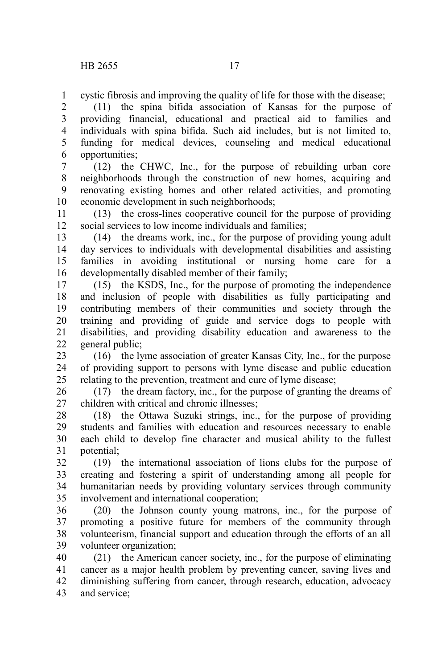cystic fibrosis and improving the quality of life for those with the disease; 1

(11) the spina bifida association of Kansas for the purpose of providing financial, educational and practical aid to families and individuals with spina bifida. Such aid includes, but is not limited to, funding for medical devices, counseling and medical educational opportunities; 2 3 4 5 6

(12) the CHWC, Inc., for the purpose of rebuilding urban core neighborhoods through the construction of new homes, acquiring and renovating existing homes and other related activities, and promoting economic development in such neighborhoods; 7 8 9 10

(13) the cross-lines cooperative council for the purpose of providing social services to low income individuals and families; 11 12

(14) the dreams work, inc., for the purpose of providing young adult day services to individuals with developmental disabilities and assisting families in avoiding institutional or nursing home care for a developmentally disabled member of their family; 13 14 15 16

(15) the KSDS, Inc., for the purpose of promoting the independence and inclusion of people with disabilities as fully participating and contributing members of their communities and society through the training and providing of guide and service dogs to people with disabilities, and providing disability education and awareness to the general public; 17 18 19 20 21 22

(16) the lyme association of greater Kansas City, Inc., for the purpose of providing support to persons with lyme disease and public education relating to the prevention, treatment and cure of lyme disease; 23 24 25

(17) the dream factory, inc., for the purpose of granting the dreams of children with critical and chronic illnesses; 26 27

(18) the Ottawa Suzuki strings, inc., for the purpose of providing students and families with education and resources necessary to enable each child to develop fine character and musical ability to the fullest potential; 28 29 30 31

(19) the international association of lions clubs for the purpose of creating and fostering a spirit of understanding among all people for humanitarian needs by providing voluntary services through community involvement and international cooperation; 32 33 34 35

(20) the Johnson county young matrons, inc., for the purpose of promoting a positive future for members of the community through volunteerism, financial support and education through the efforts of an all volunteer organization; 36 37 38 39

(21) the American cancer society, inc., for the purpose of eliminating cancer as a major health problem by preventing cancer, saving lives and diminishing suffering from cancer, through research, education, advocacy and service; 40 41 42 43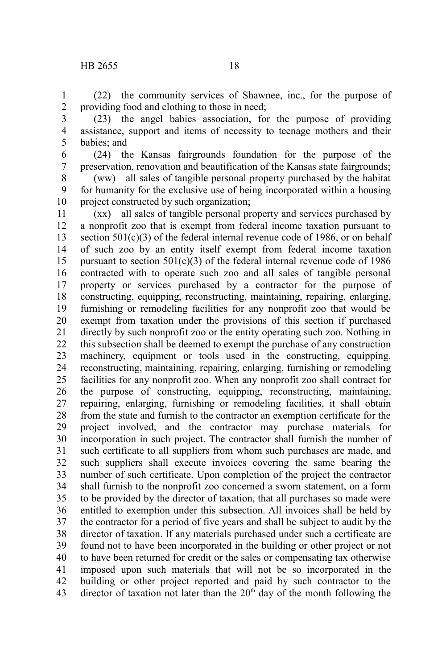(22) the community services of Shawnee, inc., for the purpose of providing food and clothing to those in need; 1 2

- (23) the angel babies association, for the purpose of providing assistance, support and items of necessity to teenage mothers and their babies; and 3 4 5
- (24) the Kansas fairgrounds foundation for the purpose of the preservation, renovation and beautification of the Kansas state fairgrounds; 6 7

(ww) all sales of tangible personal property purchased by the habitat for humanity for the exclusive use of being incorporated within a housing project constructed by such organization; 8 9 10

(xx) all sales of tangible personal property and services purchased by a nonprofit zoo that is exempt from federal income taxation pursuant to section 501(c)(3) of the federal internal revenue code of 1986, or on behalf of such zoo by an entity itself exempt from federal income taxation pursuant to section  $501(c)(3)$  of the federal internal revenue code of 1986 contracted with to operate such zoo and all sales of tangible personal property or services purchased by a contractor for the purpose of constructing, equipping, reconstructing, maintaining, repairing, enlarging, furnishing or remodeling facilities for any nonprofit zoo that would be exempt from taxation under the provisions of this section if purchased directly by such nonprofit zoo or the entity operating such zoo. Nothing in this subsection shall be deemed to exempt the purchase of any construction machinery, equipment or tools used in the constructing, equipping, reconstructing, maintaining, repairing, enlarging, furnishing or remodeling facilities for any nonprofit zoo. When any nonprofit zoo shall contract for the purpose of constructing, equipping, reconstructing, maintaining, repairing, enlarging, furnishing or remodeling facilities, it shall obtain from the state and furnish to the contractor an exemption certificate for the project involved, and the contractor may purchase materials for incorporation in such project. The contractor shall furnish the number of such certificate to all suppliers from whom such purchases are made, and such suppliers shall execute invoices covering the same bearing the number of such certificate. Upon completion of the project the contractor shall furnish to the nonprofit zoo concerned a sworn statement, on a form to be provided by the director of taxation, that all purchases so made were entitled to exemption under this subsection. All invoices shall be held by the contractor for a period of five years and shall be subject to audit by the director of taxation. If any materials purchased under such a certificate are found not to have been incorporated in the building or other project or not to have been returned for credit or the sales or compensating tax otherwise imposed upon such materials that will not be so incorporated in the building or other project reported and paid by such contractor to the director of taxation not later than the  $20<sup>th</sup>$  day of the month following the 11 12 13 14 15 16 17 18 19 20 21 22 23 24 25 26 27 28 29 30 31 32 33 34 35 36 37 38 39 40 41 42 43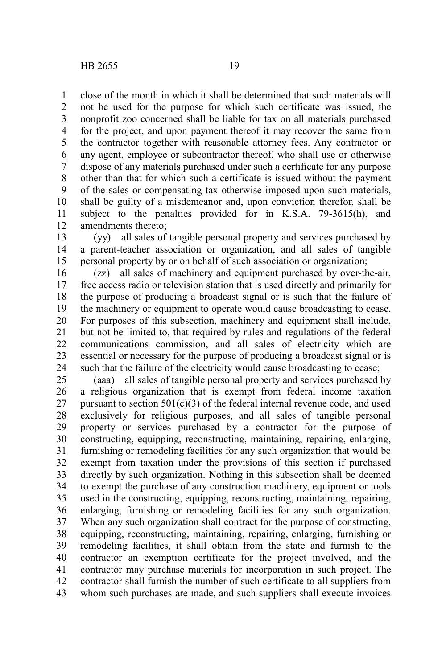close of the month in which it shall be determined that such materials will not be used for the purpose for which such certificate was issued, the nonprofit zoo concerned shall be liable for tax on all materials purchased for the project, and upon payment thereof it may recover the same from the contractor together with reasonable attorney fees. Any contractor or any agent, employee or subcontractor thereof, who shall use or otherwise dispose of any materials purchased under such a certificate for any purpose other than that for which such a certificate is issued without the payment of the sales or compensating tax otherwise imposed upon such materials, shall be guilty of a misdemeanor and, upon conviction therefor, shall be subject to the penalties provided for in K.S.A. 79-3615(h), and amendments thereto; 1 2 3 4 5 6 7 8 9 10 11 12

(yy) all sales of tangible personal property and services purchased by a parent-teacher association or organization, and all sales of tangible personal property by or on behalf of such association or organization; 13 14 15

(zz) all sales of machinery and equipment purchased by over-the-air, free access radio or television station that is used directly and primarily for the purpose of producing a broadcast signal or is such that the failure of the machinery or equipment to operate would cause broadcasting to cease. For purposes of this subsection, machinery and equipment shall include, but not be limited to, that required by rules and regulations of the federal communications commission, and all sales of electricity which are essential or necessary for the purpose of producing a broadcast signal or is such that the failure of the electricity would cause broadcasting to cease; 16 17 18 19 20 21 22 23 24

(aaa) all sales of tangible personal property and services purchased by a religious organization that is exempt from federal income taxation pursuant to section  $501(c)(3)$  of the federal internal revenue code, and used exclusively for religious purposes, and all sales of tangible personal property or services purchased by a contractor for the purpose of constructing, equipping, reconstructing, maintaining, repairing, enlarging, furnishing or remodeling facilities for any such organization that would be exempt from taxation under the provisions of this section if purchased directly by such organization. Nothing in this subsection shall be deemed to exempt the purchase of any construction machinery, equipment or tools used in the constructing, equipping, reconstructing, maintaining, repairing, enlarging, furnishing or remodeling facilities for any such organization. When any such organization shall contract for the purpose of constructing, equipping, reconstructing, maintaining, repairing, enlarging, furnishing or remodeling facilities, it shall obtain from the state and furnish to the contractor an exemption certificate for the project involved, and the contractor may purchase materials for incorporation in such project. The contractor shall furnish the number of such certificate to all suppliers from whom such purchases are made, and such suppliers shall execute invoices 25 26 27 28 29 30 31 32 33 34 35 36 37 38 39 40 41 42 43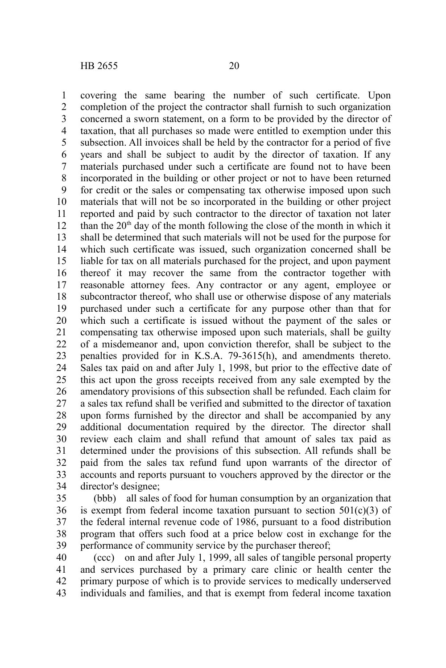covering the same bearing the number of such certificate. Upon completion of the project the contractor shall furnish to such organization concerned a sworn statement, on a form to be provided by the director of taxation, that all purchases so made were entitled to exemption under this subsection. All invoices shall be held by the contractor for a period of five years and shall be subject to audit by the director of taxation. If any materials purchased under such a certificate are found not to have been incorporated in the building or other project or not to have been returned for credit or the sales or compensating tax otherwise imposed upon such materials that will not be so incorporated in the building or other project reported and paid by such contractor to the director of taxation not later than the  $20<sup>th</sup>$  day of the month following the close of the month in which it shall be determined that such materials will not be used for the purpose for which such certificate was issued, such organization concerned shall be liable for tax on all materials purchased for the project, and upon payment thereof it may recover the same from the contractor together with reasonable attorney fees. Any contractor or any agent, employee or subcontractor thereof, who shall use or otherwise dispose of any materials purchased under such a certificate for any purpose other than that for which such a certificate is issued without the payment of the sales or compensating tax otherwise imposed upon such materials, shall be guilty of a misdemeanor and, upon conviction therefor, shall be subject to the penalties provided for in K.S.A. 79-3615(h), and amendments thereto. Sales tax paid on and after July 1, 1998, but prior to the effective date of this act upon the gross receipts received from any sale exempted by the amendatory provisions of this subsection shall be refunded. Each claim for a sales tax refund shall be verified and submitted to the director of taxation upon forms furnished by the director and shall be accompanied by any additional documentation required by the director. The director shall review each claim and shall refund that amount of sales tax paid as determined under the provisions of this subsection. All refunds shall be paid from the sales tax refund fund upon warrants of the director of accounts and reports pursuant to vouchers approved by the director or the director's designee; 1 2 3 4 5 6 7 8 9 10 11 12 13 14 15 16 17 18 19 20 21 22 23 24 25 26 27 28 29 30 31 32 33 34

(bbb) all sales of food for human consumption by an organization that is exempt from federal income taxation pursuant to section  $501(c)(3)$  of the federal internal revenue code of 1986, pursuant to a food distribution program that offers such food at a price below cost in exchange for the performance of community service by the purchaser thereof; 35 36 37 38 39

(ccc) on and after July 1, 1999, all sales of tangible personal property and services purchased by a primary care clinic or health center the primary purpose of which is to provide services to medically underserved individuals and families, and that is exempt from federal income taxation 40 41 42 43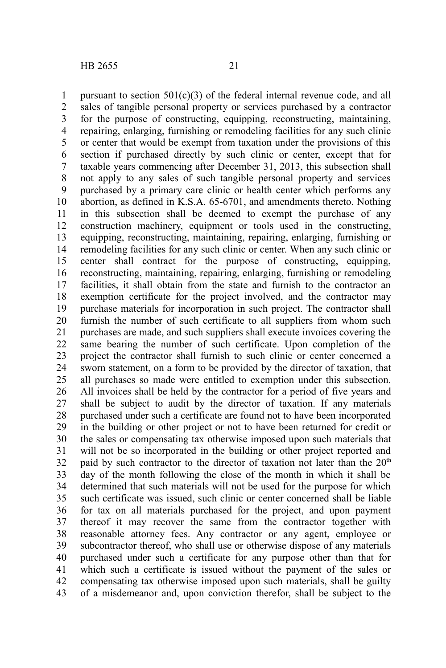pursuant to section  $501(c)(3)$  of the federal internal revenue code, and all sales of tangible personal property or services purchased by a contractor for the purpose of constructing, equipping, reconstructing, maintaining, repairing, enlarging, furnishing or remodeling facilities for any such clinic or center that would be exempt from taxation under the provisions of this section if purchased directly by such clinic or center, except that for taxable years commencing after December 31, 2013, this subsection shall not apply to any sales of such tangible personal property and services purchased by a primary care clinic or health center which performs any abortion, as defined in K.S.A. 65-6701, and amendments thereto. Nothing in this subsection shall be deemed to exempt the purchase of any construction machinery, equipment or tools used in the constructing, equipping, reconstructing, maintaining, repairing, enlarging, furnishing or remodeling facilities for any such clinic or center. When any such clinic or center shall contract for the purpose of constructing, equipping, reconstructing, maintaining, repairing, enlarging, furnishing or remodeling facilities, it shall obtain from the state and furnish to the contractor an exemption certificate for the project involved, and the contractor may purchase materials for incorporation in such project. The contractor shall furnish the number of such certificate to all suppliers from whom such purchases are made, and such suppliers shall execute invoices covering the same bearing the number of such certificate. Upon completion of the project the contractor shall furnish to such clinic or center concerned a sworn statement, on a form to be provided by the director of taxation, that all purchases so made were entitled to exemption under this subsection. All invoices shall be held by the contractor for a period of five years and shall be subject to audit by the director of taxation. If any materials purchased under such a certificate are found not to have been incorporated in the building or other project or not to have been returned for credit or the sales or compensating tax otherwise imposed upon such materials that will not be so incorporated in the building or other project reported and paid by such contractor to the director of taxation not later than the  $20<sup>th</sup>$ day of the month following the close of the month in which it shall be determined that such materials will not be used for the purpose for which such certificate was issued, such clinic or center concerned shall be liable for tax on all materials purchased for the project, and upon payment thereof it may recover the same from the contractor together with reasonable attorney fees. Any contractor or any agent, employee or subcontractor thereof, who shall use or otherwise dispose of any materials purchased under such a certificate for any purpose other than that for which such a certificate is issued without the payment of the sales or compensating tax otherwise imposed upon such materials, shall be guilty of a misdemeanor and, upon conviction therefor, shall be subject to the 1 2 3 4 5 6 7 8 9 10 11 12 13 14 15 16 17 18 19 20 21 22 23 24 25 26 27 28 29 30 31 32 33 34 35 36 37 38 39 40 41 42 43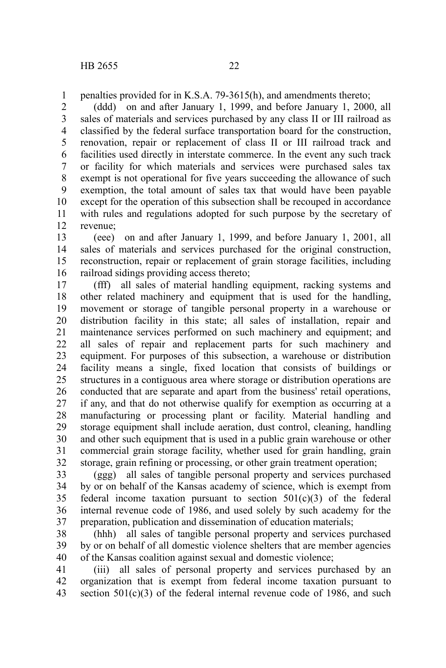penalties provided for in K.S.A. 79-3615(h), and amendments thereto; 1

(ddd) on and after January 1, 1999, and before January 1, 2000, all sales of materials and services purchased by any class II or III railroad as classified by the federal surface transportation board for the construction, renovation, repair or replacement of class II or III railroad track and facilities used directly in interstate commerce. In the event any such track or facility for which materials and services were purchased sales tax exempt is not operational for five years succeeding the allowance of such exemption, the total amount of sales tax that would have been payable except for the operation of this subsection shall be recouped in accordance with rules and regulations adopted for such purpose by the secretary of revenue; 2 3 4 5 6 7 8 9 10 11 12

(eee) on and after January 1, 1999, and before January 1, 2001, all sales of materials and services purchased for the original construction, reconstruction, repair or replacement of grain storage facilities, including railroad sidings providing access thereto; 13 14 15 16

(fff) all sales of material handling equipment, racking systems and other related machinery and equipment that is used for the handling, movement or storage of tangible personal property in a warehouse or distribution facility in this state; all sales of installation, repair and maintenance services performed on such machinery and equipment; and all sales of repair and replacement parts for such machinery and equipment. For purposes of this subsection, a warehouse or distribution facility means a single, fixed location that consists of buildings or structures in a contiguous area where storage or distribution operations are conducted that are separate and apart from the business' retail operations, if any, and that do not otherwise qualify for exemption as occurring at a manufacturing or processing plant or facility. Material handling and storage equipment shall include aeration, dust control, cleaning, handling and other such equipment that is used in a public grain warehouse or other commercial grain storage facility, whether used for grain handling, grain storage, grain refining or processing, or other grain treatment operation; 17 18 19 20 21 22 23 24 25 26 27 28 29 30 31 32

(ggg) all sales of tangible personal property and services purchased by or on behalf of the Kansas academy of science, which is exempt from federal income taxation pursuant to section  $501(c)(3)$  of the federal internal revenue code of 1986, and used solely by such academy for the preparation, publication and dissemination of education materials; 33 34 35 36 37

(hhh) all sales of tangible personal property and services purchased by or on behalf of all domestic violence shelters that are member agencies of the Kansas coalition against sexual and domestic violence; 38 39 40

(iii) all sales of personal property and services purchased by an organization that is exempt from federal income taxation pursuant to section  $501(c)(3)$  of the federal internal revenue code of 1986, and such 41 42 43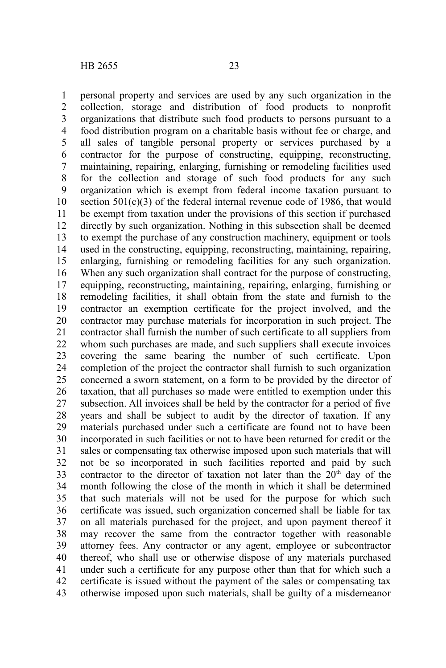personal property and services are used by any such organization in the collection, storage and distribution of food products to nonprofit organizations that distribute such food products to persons pursuant to a food distribution program on a charitable basis without fee or charge, and all sales of tangible personal property or services purchased by a contractor for the purpose of constructing, equipping, reconstructing, maintaining, repairing, enlarging, furnishing or remodeling facilities used for the collection and storage of such food products for any such organization which is exempt from federal income taxation pursuant to section  $501(c)(3)$  of the federal internal revenue code of 1986, that would be exempt from taxation under the provisions of this section if purchased directly by such organization. Nothing in this subsection shall be deemed to exempt the purchase of any construction machinery, equipment or tools used in the constructing, equipping, reconstructing, maintaining, repairing, enlarging, furnishing or remodeling facilities for any such organization. When any such organization shall contract for the purpose of constructing, equipping, reconstructing, maintaining, repairing, enlarging, furnishing or remodeling facilities, it shall obtain from the state and furnish to the contractor an exemption certificate for the project involved, and the contractor may purchase materials for incorporation in such project. The contractor shall furnish the number of such certificate to all suppliers from whom such purchases are made, and such suppliers shall execute invoices covering the same bearing the number of such certificate. Upon completion of the project the contractor shall furnish to such organization concerned a sworn statement, on a form to be provided by the director of taxation, that all purchases so made were entitled to exemption under this subsection. All invoices shall be held by the contractor for a period of five years and shall be subject to audit by the director of taxation. If any materials purchased under such a certificate are found not to have been incorporated in such facilities or not to have been returned for credit or the sales or compensating tax otherwise imposed upon such materials that will not be so incorporated in such facilities reported and paid by such contractor to the director of taxation not later than the  $20<sup>th</sup>$  day of the month following the close of the month in which it shall be determined that such materials will not be used for the purpose for which such certificate was issued, such organization concerned shall be liable for tax on all materials purchased for the project, and upon payment thereof it may recover the same from the contractor together with reasonable attorney fees. Any contractor or any agent, employee or subcontractor thereof, who shall use or otherwise dispose of any materials purchased under such a certificate for any purpose other than that for which such a certificate is issued without the payment of the sales or compensating tax otherwise imposed upon such materials, shall be guilty of a misdemeanor 1 2 3 4 5 6 7 8 9 10 11 12 13 14 15 16 17 18 19 20 21 22 23 24 25 26 27 28 29 30 31 32 33 34 35 36 37 38 39 40 41 42 43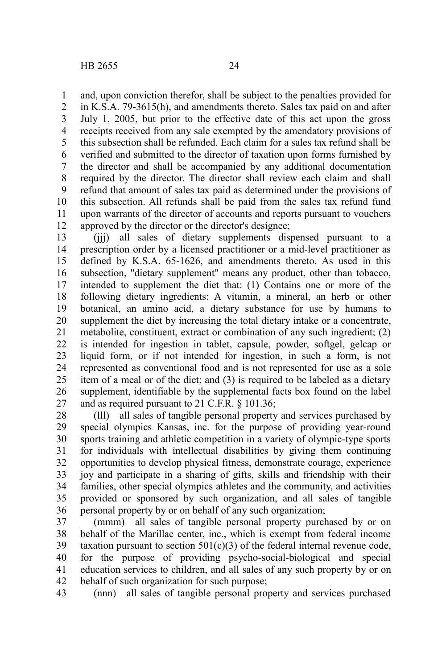and, upon conviction therefor, shall be subject to the penalties provided for 1

in K.S.A. 79-3615(h), and amendments thereto. Sales tax paid on and after July 1, 2005, but prior to the effective date of this act upon the gross receipts received from any sale exempted by the amendatory provisions of this subsection shall be refunded. Each claim for a sales tax refund shall be verified and submitted to the director of taxation upon forms furnished by the director and shall be accompanied by any additional documentation required by the director. The director shall review each claim and shall refund that amount of sales tax paid as determined under the provisions of this subsection. All refunds shall be paid from the sales tax refund fund upon warrants of the director of accounts and reports pursuant to vouchers approved by the director or the director's designee; 2 3 4 5 6 7 8 9 10 11 12

(iii) all sales of dietary supplements dispensed pursuant to a prescription order by a licensed practitioner or a mid-level practitioner as defined by K.S.A. 65-1626, and amendments thereto. As used in this subsection, "dietary supplement" means any product, other than tobacco, intended to supplement the diet that: (1) Contains one or more of the following dietary ingredients: A vitamin, a mineral, an herb or other botanical, an amino acid, a dietary substance for use by humans to supplement the diet by increasing the total dietary intake or a concentrate, metabolite, constituent, extract or combination of any such ingredient; (2) is intended for ingestion in tablet, capsule, powder, softgel, gelcap or liquid form, or if not intended for ingestion, in such a form, is not represented as conventional food and is not represented for use as a sole item of a meal or of the diet; and (3) is required to be labeled as a dietary supplement, identifiable by the supplemental facts box found on the label and as required pursuant to 21 C.F.R. § 101.36; 13 14 15 16 17 18 19 20 21 22 23 24 25 26 27

(lll) all sales of tangible personal property and services purchased by special olympics Kansas, inc. for the purpose of providing year-round sports training and athletic competition in a variety of olympic-type sports for individuals with intellectual disabilities by giving them continuing opportunities to develop physical fitness, demonstrate courage, experience joy and participate in a sharing of gifts, skills and friendship with their families, other special olympics athletes and the community, and activities provided or sponsored by such organization, and all sales of tangible personal property by or on behalf of any such organization; 28 29 30 31 32 33 34 35 36

(mmm) all sales of tangible personal property purchased by or on behalf of the Marillac center, inc., which is exempt from federal income taxation pursuant to section  $501(c)(3)$  of the federal internal revenue code, for the purpose of providing psycho-social-biological and special education services to children, and all sales of any such property by or on behalf of such organization for such purpose; 37 38 39 40 41 42

(nnn) all sales of tangible personal property and services purchased 43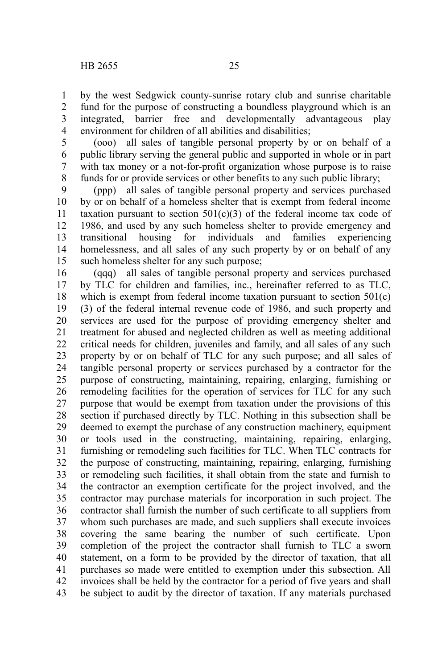by the west Sedgwick county-sunrise rotary club and sunrise charitable fund for the purpose of constructing a boundless playground which is an integrated, barrier free and developmentally advantageous play environment for children of all abilities and disabilities; 1 2 3 4

(ooo) all sales of tangible personal property by or on behalf of a public library serving the general public and supported in whole or in part with tax money or a not-for-profit organization whose purpose is to raise funds for or provide services or other benefits to any such public library; 5 6 7 8

(ppp) all sales of tangible personal property and services purchased by or on behalf of a homeless shelter that is exempt from federal income taxation pursuant to section  $501(c)(3)$  of the federal income tax code of 1986, and used by any such homeless shelter to provide emergency and transitional housing for individuals and families experiencing homelessness, and all sales of any such property by or on behalf of any such homeless shelter for any such purpose; 9 10 11 12 13 14 15

(qqq) all sales of tangible personal property and services purchased by TLC for children and families, inc., hereinafter referred to as TLC, which is exempt from federal income taxation pursuant to section 501(c) (3) of the federal internal revenue code of 1986, and such property and services are used for the purpose of providing emergency shelter and treatment for abused and neglected children as well as meeting additional critical needs for children, juveniles and family, and all sales of any such property by or on behalf of TLC for any such purpose; and all sales of tangible personal property or services purchased by a contractor for the purpose of constructing, maintaining, repairing, enlarging, furnishing or remodeling facilities for the operation of services for TLC for any such purpose that would be exempt from taxation under the provisions of this section if purchased directly by TLC. Nothing in this subsection shall be deemed to exempt the purchase of any construction machinery, equipment or tools used in the constructing, maintaining, repairing, enlarging, furnishing or remodeling such facilities for TLC. When TLC contracts for the purpose of constructing, maintaining, repairing, enlarging, furnishing or remodeling such facilities, it shall obtain from the state and furnish to the contractor an exemption certificate for the project involved, and the contractor may purchase materials for incorporation in such project. The contractor shall furnish the number of such certificate to all suppliers from whom such purchases are made, and such suppliers shall execute invoices covering the same bearing the number of such certificate. Upon completion of the project the contractor shall furnish to TLC a sworn statement, on a form to be provided by the director of taxation, that all purchases so made were entitled to exemption under this subsection. All invoices shall be held by the contractor for a period of five years and shall be subject to audit by the director of taxation. If any materials purchased 16 17 18 19 20 21 22 23 24 25 26 27 28 29 30 31 32 33 34 35 36 37 38 39 40 41 42 43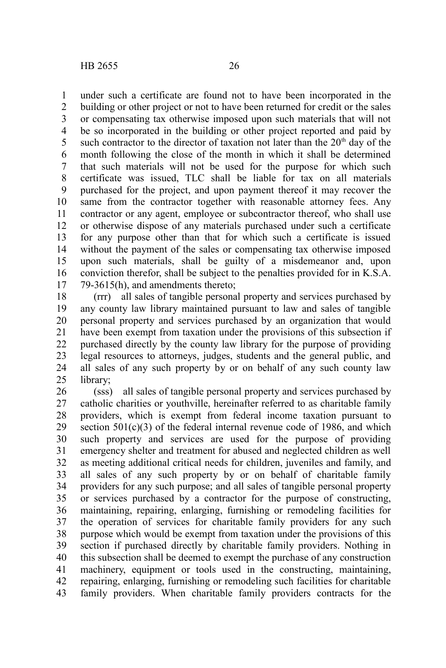under such a certificate are found not to have been incorporated in the building or other project or not to have been returned for credit or the sales or compensating tax otherwise imposed upon such materials that will not be so incorporated in the building or other project reported and paid by such contractor to the director of taxation not later than the  $20<sup>th</sup>$  day of the month following the close of the month in which it shall be determined that such materials will not be used for the purpose for which such certificate was issued, TLC shall be liable for tax on all materials purchased for the project, and upon payment thereof it may recover the same from the contractor together with reasonable attorney fees. Any contractor or any agent, employee or subcontractor thereof, who shall use or otherwise dispose of any materials purchased under such a certificate for any purpose other than that for which such a certificate is issued without the payment of the sales or compensating tax otherwise imposed upon such materials, shall be guilty of a misdemeanor and, upon conviction therefor, shall be subject to the penalties provided for in K.S.A. 79-3615(h), and amendments thereto; 1 2 3 4 5 6 7 8 9 10 11 12 13 14 15 16 17

(rrr) all sales of tangible personal property and services purchased by any county law library maintained pursuant to law and sales of tangible personal property and services purchased by an organization that would have been exempt from taxation under the provisions of this subsection if purchased directly by the county law library for the purpose of providing legal resources to attorneys, judges, students and the general public, and all sales of any such property by or on behalf of any such county law library; 18 19 20 21 22 23 24 25

(sss) all sales of tangible personal property and services purchased by catholic charities or youthville, hereinafter referred to as charitable family providers, which is exempt from federal income taxation pursuant to section 501(c)(3) of the federal internal revenue code of 1986, and which such property and services are used for the purpose of providing emergency shelter and treatment for abused and neglected children as well as meeting additional critical needs for children, juveniles and family, and all sales of any such property by or on behalf of charitable family providers for any such purpose; and all sales of tangible personal property or services purchased by a contractor for the purpose of constructing, maintaining, repairing, enlarging, furnishing or remodeling facilities for the operation of services for charitable family providers for any such purpose which would be exempt from taxation under the provisions of this section if purchased directly by charitable family providers. Nothing in this subsection shall be deemed to exempt the purchase of any construction machinery, equipment or tools used in the constructing, maintaining, repairing, enlarging, furnishing or remodeling such facilities for charitable family providers. When charitable family providers contracts for the 26 27 28 29 30 31 32 33 34 35 36 37 38 39 40 41 42 43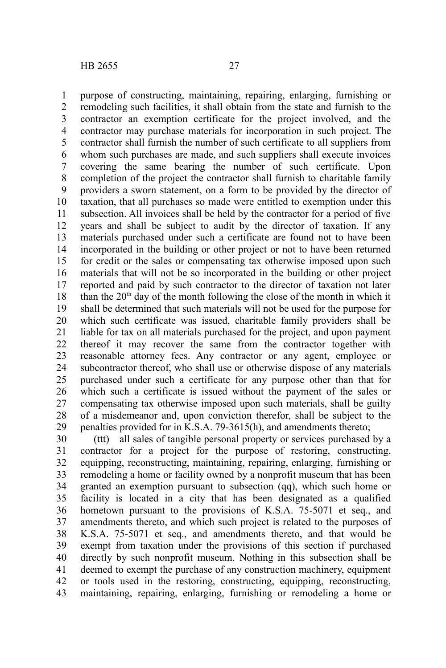purpose of constructing, maintaining, repairing, enlarging, furnishing or remodeling such facilities, it shall obtain from the state and furnish to the contractor an exemption certificate for the project involved, and the contractor may purchase materials for incorporation in such project. The contractor shall furnish the number of such certificate to all suppliers from whom such purchases are made, and such suppliers shall execute invoices covering the same bearing the number of such certificate. Upon completion of the project the contractor shall furnish to charitable family providers a sworn statement, on a form to be provided by the director of taxation, that all purchases so made were entitled to exemption under this subsection. All invoices shall be held by the contractor for a period of five years and shall be subject to audit by the director of taxation. If any materials purchased under such a certificate are found not to have been incorporated in the building or other project or not to have been returned for credit or the sales or compensating tax otherwise imposed upon such materials that will not be so incorporated in the building or other project reported and paid by such contractor to the director of taxation not later than the  $20<sup>th</sup>$  day of the month following the close of the month in which it shall be determined that such materials will not be used for the purpose for which such certificate was issued, charitable family providers shall be liable for tax on all materials purchased for the project, and upon payment thereof it may recover the same from the contractor together with reasonable attorney fees. Any contractor or any agent, employee or subcontractor thereof, who shall use or otherwise dispose of any materials purchased under such a certificate for any purpose other than that for which such a certificate is issued without the payment of the sales or compensating tax otherwise imposed upon such materials, shall be guilty of a misdemeanor and, upon conviction therefor, shall be subject to the penalties provided for in K.S.A. 79-3615(h), and amendments thereto; 1 2 3 4 5 6 7 8 9 10 11 12 13 14 15 16 17 18 19 20 21 22 23 24 25 26 27 28 29

(ttt) all sales of tangible personal property or services purchased by a contractor for a project for the purpose of restoring, constructing, equipping, reconstructing, maintaining, repairing, enlarging, furnishing or remodeling a home or facility owned by a nonprofit museum that has been granted an exemption pursuant to subsection (qq), which such home or facility is located in a city that has been designated as a qualified hometown pursuant to the provisions of K.S.A. 75-5071 et seq., and amendments thereto, and which such project is related to the purposes of K.S.A. 75-5071 et seq., and amendments thereto, and that would be exempt from taxation under the provisions of this section if purchased directly by such nonprofit museum. Nothing in this subsection shall be deemed to exempt the purchase of any construction machinery, equipment or tools used in the restoring, constructing, equipping, reconstructing, maintaining, repairing, enlarging, furnishing or remodeling a home or 30 31 32 33 34 35 36 37 38 39 40 41 42 43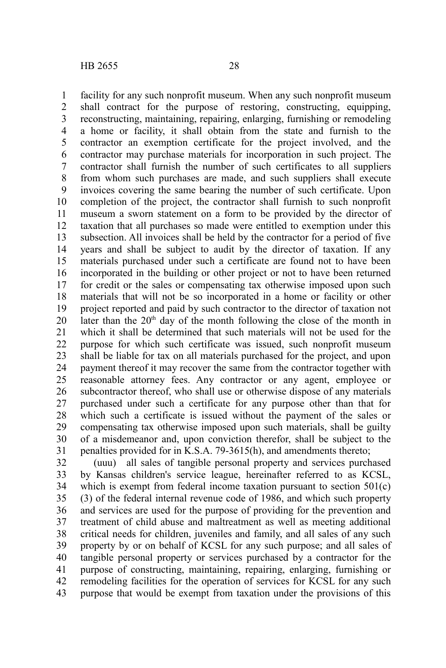facility for any such nonprofit museum. When any such nonprofit museum shall contract for the purpose of restoring, constructing, equipping, reconstructing, maintaining, repairing, enlarging, furnishing or remodeling a home or facility, it shall obtain from the state and furnish to the contractor an exemption certificate for the project involved, and the contractor may purchase materials for incorporation in such project. The contractor shall furnish the number of such certificates to all suppliers from whom such purchases are made, and such suppliers shall execute invoices covering the same bearing the number of such certificate. Upon completion of the project, the contractor shall furnish to such nonprofit museum a sworn statement on a form to be provided by the director of taxation that all purchases so made were entitled to exemption under this subsection. All invoices shall be held by the contractor for a period of five years and shall be subject to audit by the director of taxation. If any materials purchased under such a certificate are found not to have been incorporated in the building or other project or not to have been returned for credit or the sales or compensating tax otherwise imposed upon such materials that will not be so incorporated in a home or facility or other project reported and paid by such contractor to the director of taxation not later than the  $20<sup>th</sup>$  day of the month following the close of the month in which it shall be determined that such materials will not be used for the purpose for which such certificate was issued, such nonprofit museum shall be liable for tax on all materials purchased for the project, and upon payment thereof it may recover the same from the contractor together with reasonable attorney fees. Any contractor or any agent, employee or subcontractor thereof, who shall use or otherwise dispose of any materials purchased under such a certificate for any purpose other than that for which such a certificate is issued without the payment of the sales or compensating tax otherwise imposed upon such materials, shall be guilty of a misdemeanor and, upon conviction therefor, shall be subject to the penalties provided for in K.S.A. 79-3615(h), and amendments thereto; 1 2 3 4 5 6 7 8 9 10 11 12 13 14 15 16 17 18 19 20 21 22 23 24 25 26 27 28 29 30 31

(uuu) all sales of tangible personal property and services purchased by Kansas children's service league, hereinafter referred to as KCSL, which is exempt from federal income taxation pursuant to section 501(c) (3) of the federal internal revenue code of 1986, and which such property and services are used for the purpose of providing for the prevention and treatment of child abuse and maltreatment as well as meeting additional critical needs for children, juveniles and family, and all sales of any such property by or on behalf of KCSL for any such purpose; and all sales of tangible personal property or services purchased by a contractor for the purpose of constructing, maintaining, repairing, enlarging, furnishing or remodeling facilities for the operation of services for KCSL for any such purpose that would be exempt from taxation under the provisions of this 32 33 34 35 36 37 38 39 40 41 42 43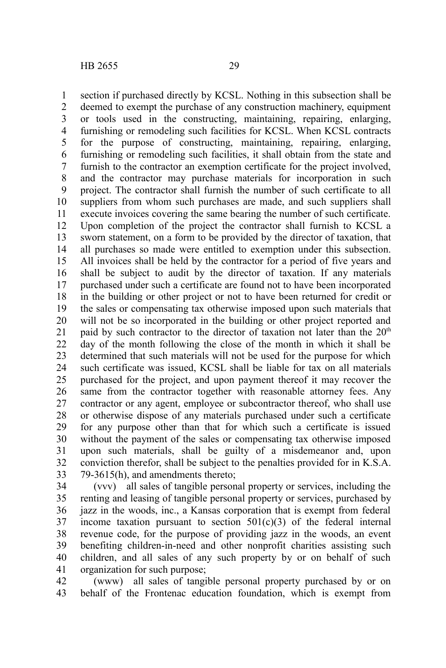section if purchased directly by KCSL. Nothing in this subsection shall be deemed to exempt the purchase of any construction machinery, equipment or tools used in the constructing, maintaining, repairing, enlarging, furnishing or remodeling such facilities for KCSL. When KCSL contracts for the purpose of constructing, maintaining, repairing, enlarging, furnishing or remodeling such facilities, it shall obtain from the state and furnish to the contractor an exemption certificate for the project involved, and the contractor may purchase materials for incorporation in such project. The contractor shall furnish the number of such certificate to all suppliers from whom such purchases are made, and such suppliers shall execute invoices covering the same bearing the number of such certificate. Upon completion of the project the contractor shall furnish to KCSL a sworn statement, on a form to be provided by the director of taxation, that all purchases so made were entitled to exemption under this subsection. All invoices shall be held by the contractor for a period of five years and shall be subject to audit by the director of taxation. If any materials purchased under such a certificate are found not to have been incorporated in the building or other project or not to have been returned for credit or the sales or compensating tax otherwise imposed upon such materials that will not be so incorporated in the building or other project reported and paid by such contractor to the director of taxation not later than the  $20<sup>th</sup>$ day of the month following the close of the month in which it shall be determined that such materials will not be used for the purpose for which such certificate was issued, KCSL shall be liable for tax on all materials purchased for the project, and upon payment thereof it may recover the same from the contractor together with reasonable attorney fees. Any contractor or any agent, employee or subcontractor thereof, who shall use or otherwise dispose of any materials purchased under such a certificate for any purpose other than that for which such a certificate is issued without the payment of the sales or compensating tax otherwise imposed upon such materials, shall be guilty of a misdemeanor and, upon conviction therefor, shall be subject to the penalties provided for in K.S.A. 79-3615(h), and amendments thereto; 1 2 3 4 5 6 7 8 9 10 11 12 13 14 15 16 17 18 19 20 21 22 23 24 25 26 27 28 29 30 31 32 33

(vvv) all sales of tangible personal property or services, including the renting and leasing of tangible personal property or services, purchased by jazz in the woods, inc., a Kansas corporation that is exempt from federal income taxation pursuant to section  $501(c)(3)$  of the federal internal revenue code, for the purpose of providing jazz in the woods, an event benefiting children-in-need and other nonprofit charities assisting such children, and all sales of any such property by or on behalf of such organization for such purpose; 34 35 36 37 38 39 40 41

(www) all sales of tangible personal property purchased by or on behalf of the Frontenac education foundation, which is exempt from 42 43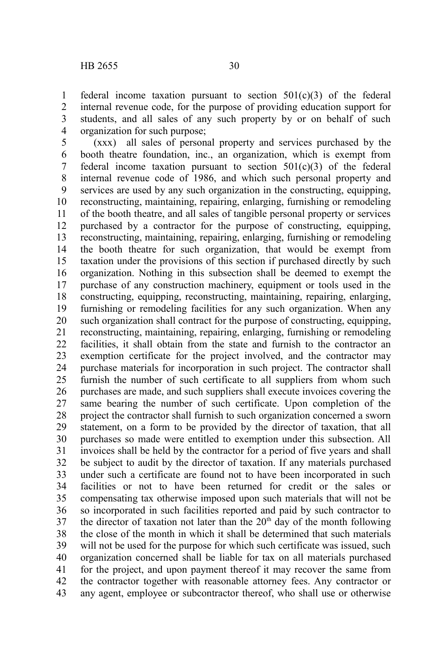federal income taxation pursuant to section 501(c)(3) of the federal internal revenue code, for the purpose of providing education support for students, and all sales of any such property by or on behalf of such organization for such purpose; 1 2 3 4

(xxx) all sales of personal property and services purchased by the booth theatre foundation, inc., an organization, which is exempt from federal income taxation pursuant to section  $501(c)(3)$  of the federal internal revenue code of 1986, and which such personal property and services are used by any such organization in the constructing, equipping, reconstructing, maintaining, repairing, enlarging, furnishing or remodeling of the booth theatre, and all sales of tangible personal property or services purchased by a contractor for the purpose of constructing, equipping, reconstructing, maintaining, repairing, enlarging, furnishing or remodeling the booth theatre for such organization, that would be exempt from taxation under the provisions of this section if purchased directly by such organization. Nothing in this subsection shall be deemed to exempt the purchase of any construction machinery, equipment or tools used in the constructing, equipping, reconstructing, maintaining, repairing, enlarging, furnishing or remodeling facilities for any such organization. When any such organization shall contract for the purpose of constructing, equipping, reconstructing, maintaining, repairing, enlarging, furnishing or remodeling facilities, it shall obtain from the state and furnish to the contractor an exemption certificate for the project involved, and the contractor may purchase materials for incorporation in such project. The contractor shall furnish the number of such certificate to all suppliers from whom such purchases are made, and such suppliers shall execute invoices covering the same bearing the number of such certificate. Upon completion of the project the contractor shall furnish to such organization concerned a sworn statement, on a form to be provided by the director of taxation, that all purchases so made were entitled to exemption under this subsection. All invoices shall be held by the contractor for a period of five years and shall be subject to audit by the director of taxation. If any materials purchased under such a certificate are found not to have been incorporated in such facilities or not to have been returned for credit or the sales or compensating tax otherwise imposed upon such materials that will not be so incorporated in such facilities reported and paid by such contractor to the director of taxation not later than the  $20<sup>th</sup>$  day of the month following the close of the month in which it shall be determined that such materials will not be used for the purpose for which such certificate was issued, such organization concerned shall be liable for tax on all materials purchased for the project, and upon payment thereof it may recover the same from the contractor together with reasonable attorney fees. Any contractor or any agent, employee or subcontractor thereof, who shall use or otherwise 5 6 7 8 9 10 11 12 13 14 15 16 17 18 19 20 21 22 23 24 25 26 27 28 29 30 31 32 33 34 35 36 37 38 39 40 41 42 43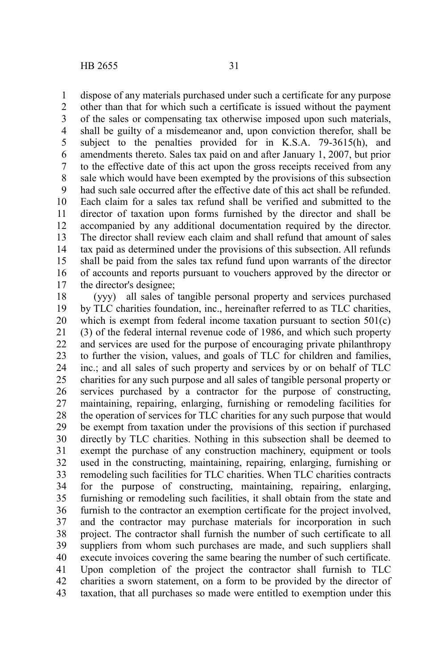dispose of any materials purchased under such a certificate for any purpose 1

other than that for which such a certificate is issued without the payment of the sales or compensating tax otherwise imposed upon such materials, shall be guilty of a misdemeanor and, upon conviction therefor, shall be subject to the penalties provided for in K.S.A. 79-3615(h), and amendments thereto. Sales tax paid on and after January 1, 2007, but prior to the effective date of this act upon the gross receipts received from any sale which would have been exempted by the provisions of this subsection had such sale occurred after the effective date of this act shall be refunded. Each claim for a sales tax refund shall be verified and submitted to the director of taxation upon forms furnished by the director and shall be accompanied by any additional documentation required by the director. The director shall review each claim and shall refund that amount of sales tax paid as determined under the provisions of this subsection. All refunds shall be paid from the sales tax refund fund upon warrants of the director of accounts and reports pursuant to vouchers approved by the director or the director's designee; 2 3 4 5 6 7 8 9 10 11 12 13 14 15 16 17

(yyy) all sales of tangible personal property and services purchased by TLC charities foundation, inc., hereinafter referred to as TLC charities, which is exempt from federal income taxation pursuant to section  $501(c)$ (3) of the federal internal revenue code of 1986, and which such property and services are used for the purpose of encouraging private philanthropy to further the vision, values, and goals of TLC for children and families, inc.; and all sales of such property and services by or on behalf of TLC charities for any such purpose and all sales of tangible personal property or services purchased by a contractor for the purpose of constructing, maintaining, repairing, enlarging, furnishing or remodeling facilities for the operation of services for TLC charities for any such purpose that would be exempt from taxation under the provisions of this section if purchased directly by TLC charities. Nothing in this subsection shall be deemed to exempt the purchase of any construction machinery, equipment or tools used in the constructing, maintaining, repairing, enlarging, furnishing or remodeling such facilities for TLC charities. When TLC charities contracts for the purpose of constructing, maintaining, repairing, enlarging, furnishing or remodeling such facilities, it shall obtain from the state and furnish to the contractor an exemption certificate for the project involved, and the contractor may purchase materials for incorporation in such project. The contractor shall furnish the number of such certificate to all suppliers from whom such purchases are made, and such suppliers shall execute invoices covering the same bearing the number of such certificate. Upon completion of the project the contractor shall furnish to TLC charities a sworn statement, on a form to be provided by the director of taxation, that all purchases so made were entitled to exemption under this 18 19 20 21 22 23 24 25 26 27 28 29 30 31 32 33 34 35 36 37 38 39 40 41 42 43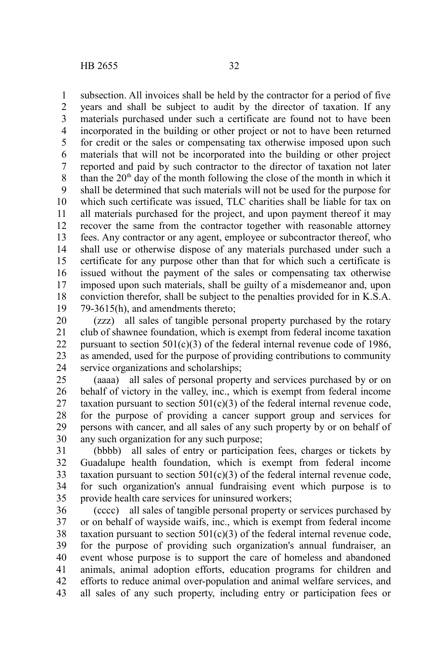subsection. All invoices shall be held by the contractor for a period of five years and shall be subject to audit by the director of taxation. If any materials purchased under such a certificate are found not to have been incorporated in the building or other project or not to have been returned for credit or the sales or compensating tax otherwise imposed upon such materials that will not be incorporated into the building or other project reported and paid by such contractor to the director of taxation not later than the  $20<sup>th</sup>$  day of the month following the close of the month in which it shall be determined that such materials will not be used for the purpose for which such certificate was issued, TLC charities shall be liable for tax on all materials purchased for the project, and upon payment thereof it may recover the same from the contractor together with reasonable attorney fees. Any contractor or any agent, employee or subcontractor thereof, who shall use or otherwise dispose of any materials purchased under such a certificate for any purpose other than that for which such a certificate is issued without the payment of the sales or compensating tax otherwise imposed upon such materials, shall be guilty of a misdemeanor and, upon conviction therefor, shall be subject to the penalties provided for in K.S.A. 79-3615(h), and amendments thereto; 1 2 3 4 5 6 7 8 9 10 11 12 13 14 15 16 17 18 19

(zzz) all sales of tangible personal property purchased by the rotary club of shawnee foundation, which is exempt from federal income taxation pursuant to section  $501(c)(3)$  of the federal internal revenue code of 1986, as amended, used for the purpose of providing contributions to community service organizations and scholarships; 20 21 22 23 24

(aaaa) all sales of personal property and services purchased by or on behalf of victory in the valley, inc., which is exempt from federal income taxation pursuant to section  $501(c)(3)$  of the federal internal revenue code, for the purpose of providing a cancer support group and services for persons with cancer, and all sales of any such property by or on behalf of any such organization for any such purpose; 25 26 27 28 29 30

(bbbb) all sales of entry or participation fees, charges or tickets by Guadalupe health foundation, which is exempt from federal income taxation pursuant to section  $501(c)(3)$  of the federal internal revenue code, for such organization's annual fundraising event which purpose is to provide health care services for uninsured workers; 31 32 33 34 35

(cccc) all sales of tangible personal property or services purchased by or on behalf of wayside waifs, inc., which is exempt from federal income taxation pursuant to section  $501(c)(3)$  of the federal internal revenue code, for the purpose of providing such organization's annual fundraiser, an event whose purpose is to support the care of homeless and abandoned animals, animal adoption efforts, education programs for children and efforts to reduce animal over-population and animal welfare services, and all sales of any such property, including entry or participation fees or 36 37 38 39 40 41 42 43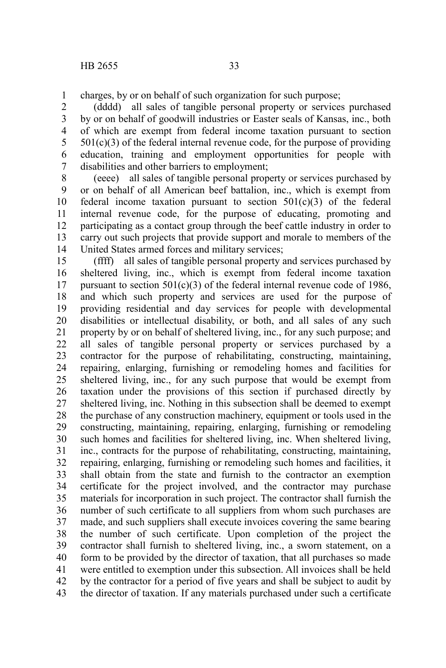charges, by or on behalf of such organization for such purpose; 1

(dddd) all sales of tangible personal property or services purchased by or on behalf of goodwill industries or Easter seals of Kansas, inc., both of which are exempt from federal income taxation pursuant to section  $501(c)(3)$  of the federal internal revenue code, for the purpose of providing education, training and employment opportunities for people with disabilities and other barriers to employment; 2 3 4 5 6 7

(eeee) all sales of tangible personal property or services purchased by or on behalf of all American beef battalion, inc., which is exempt from federal income taxation pursuant to section  $501(c)(3)$  of the federal internal revenue code, for the purpose of educating, promoting and participating as a contact group through the beef cattle industry in order to carry out such projects that provide support and morale to members of the United States armed forces and military services; 8 9 10 11 12 13 14

(ffff) all sales of tangible personal property and services purchased by sheltered living, inc., which is exempt from federal income taxation pursuant to section  $501(c)(3)$  of the federal internal revenue code of 1986. and which such property and services are used for the purpose of providing residential and day services for people with developmental disabilities or intellectual disability, or both, and all sales of any such property by or on behalf of sheltered living, inc., for any such purpose; and all sales of tangible personal property or services purchased by a contractor for the purpose of rehabilitating, constructing, maintaining, repairing, enlarging, furnishing or remodeling homes and facilities for sheltered living, inc., for any such purpose that would be exempt from taxation under the provisions of this section if purchased directly by sheltered living, inc. Nothing in this subsection shall be deemed to exempt the purchase of any construction machinery, equipment or tools used in the constructing, maintaining, repairing, enlarging, furnishing or remodeling such homes and facilities for sheltered living, inc. When sheltered living, inc., contracts for the purpose of rehabilitating, constructing, maintaining, repairing, enlarging, furnishing or remodeling such homes and facilities, it shall obtain from the state and furnish to the contractor an exemption certificate for the project involved, and the contractor may purchase materials for incorporation in such project. The contractor shall furnish the number of such certificate to all suppliers from whom such purchases are made, and such suppliers shall execute invoices covering the same bearing the number of such certificate. Upon completion of the project the contractor shall furnish to sheltered living, inc., a sworn statement, on a form to be provided by the director of taxation, that all purchases so made were entitled to exemption under this subsection. All invoices shall be held by the contractor for a period of five years and shall be subject to audit by the director of taxation. If any materials purchased under such a certificate 15 16 17 18 19 20 21 22 23 24 25 26 27 28 29 30 31 32 33 34 35 36 37 38 39 40 41 42 43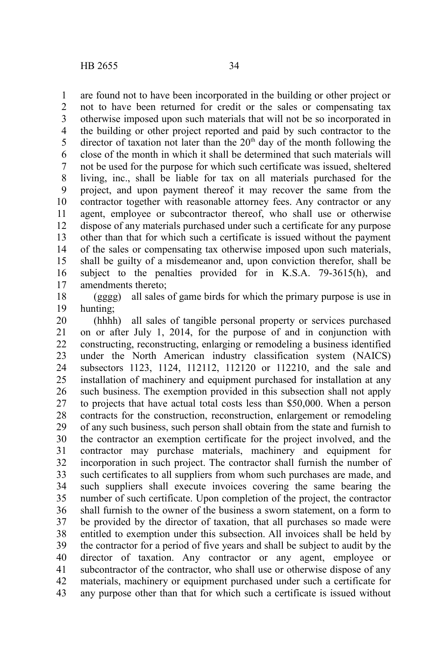are found not to have been incorporated in the building or other project or not to have been returned for credit or the sales or compensating tax otherwise imposed upon such materials that will not be so incorporated in the building or other project reported and paid by such contractor to the director of taxation not later than the  $20<sup>th</sup>$  day of the month following the close of the month in which it shall be determined that such materials will not be used for the purpose for which such certificate was issued, sheltered living, inc., shall be liable for tax on all materials purchased for the project, and upon payment thereof it may recover the same from the contractor together with reasonable attorney fees. Any contractor or any agent, employee or subcontractor thereof, who shall use or otherwise dispose of any materials purchased under such a certificate for any purpose other than that for which such a certificate is issued without the payment of the sales or compensating tax otherwise imposed upon such materials, shall be guilty of a misdemeanor and, upon conviction therefor, shall be subject to the penalties provided for in K.S.A. 79-3615(h), and amendments thereto; 1 2 3 4 5 6 7 8 9 10 11 12 13 14 15 16 17

(gggg) all sales of game birds for which the primary purpose is use in hunting; 18 19

(hhhh) all sales of tangible personal property or services purchased on or after July 1, 2014, for the purpose of and in conjunction with constructing, reconstructing, enlarging or remodeling a business identified under the North American industry classification system (NAICS) subsectors 1123, 1124, 112112, 112120 or 112210, and the sale and installation of machinery and equipment purchased for installation at any such business. The exemption provided in this subsection shall not apply to projects that have actual total costs less than \$50,000. When a person contracts for the construction, reconstruction, enlargement or remodeling of any such business, such person shall obtain from the state and furnish to the contractor an exemption certificate for the project involved, and the contractor may purchase materials, machinery and equipment for incorporation in such project. The contractor shall furnish the number of such certificates to all suppliers from whom such purchases are made, and such suppliers shall execute invoices covering the same bearing the number of such certificate. Upon completion of the project, the contractor shall furnish to the owner of the business a sworn statement, on a form to be provided by the director of taxation, that all purchases so made were entitled to exemption under this subsection. All invoices shall be held by the contractor for a period of five years and shall be subject to audit by the director of taxation. Any contractor or any agent, employee or subcontractor of the contractor, who shall use or otherwise dispose of any materials, machinery or equipment purchased under such a certificate for any purpose other than that for which such a certificate is issued without 20 21 22 23 24 25 26 27 28 29 30 31 32 33 34 35 36 37 38 39 40 41 42 43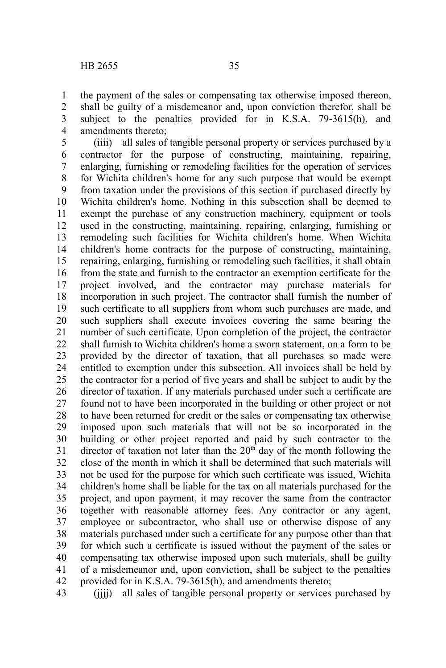the payment of the sales or compensating tax otherwise imposed thereon, shall be guilty of a misdemeanor and, upon conviction therefor, shall be subject to the penalties provided for in K.S.A. 79-3615(h), and amendments thereto; 1 2 3 4

(iiii) all sales of tangible personal property or services purchased by a contractor for the purpose of constructing, maintaining, repairing, enlarging, furnishing or remodeling facilities for the operation of services for Wichita children's home for any such purpose that would be exempt from taxation under the provisions of this section if purchased directly by Wichita children's home. Nothing in this subsection shall be deemed to exempt the purchase of any construction machinery, equipment or tools used in the constructing, maintaining, repairing, enlarging, furnishing or remodeling such facilities for Wichita children's home. When Wichita children's home contracts for the purpose of constructing, maintaining, repairing, enlarging, furnishing or remodeling such facilities, it shall obtain from the state and furnish to the contractor an exemption certificate for the project involved, and the contractor may purchase materials for incorporation in such project. The contractor shall furnish the number of such certificate to all suppliers from whom such purchases are made, and such suppliers shall execute invoices covering the same bearing the number of such certificate. Upon completion of the project, the contractor shall furnish to Wichita children's home a sworn statement, on a form to be provided by the director of taxation, that all purchases so made were entitled to exemption under this subsection. All invoices shall be held by the contractor for a period of five years and shall be subject to audit by the director of taxation. If any materials purchased under such a certificate are found not to have been incorporated in the building or other project or not to have been returned for credit or the sales or compensating tax otherwise imposed upon such materials that will not be so incorporated in the building or other project reported and paid by such contractor to the director of taxation not later than the  $20<sup>th</sup>$  day of the month following the close of the month in which it shall be determined that such materials will not be used for the purpose for which such certificate was issued, Wichita children's home shall be liable for the tax on all materials purchased for the project, and upon payment, it may recover the same from the contractor together with reasonable attorney fees. Any contractor or any agent, employee or subcontractor, who shall use or otherwise dispose of any materials purchased under such a certificate for any purpose other than that for which such a certificate is issued without the payment of the sales or compensating tax otherwise imposed upon such materials, shall be guilty of a misdemeanor and, upon conviction, shall be subject to the penalties provided for in K.S.A. 79-3615(h), and amendments thereto; 5 6 7 8 9 10 11 12 13 14 15 16 17 18 19 20 21 22 23 24 25 26 27 28 29 30 31 32 33 34 35 36 37 38 39 40 41 42

(iiii) all sales of tangible personal property or services purchased by 43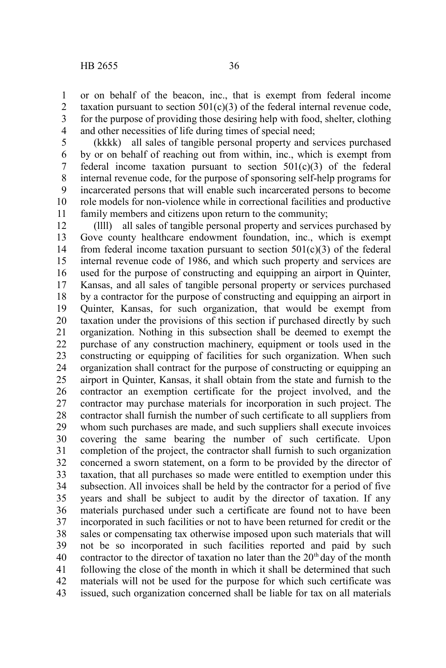or on behalf of the beacon, inc., that is exempt from federal income taxation pursuant to section  $501(c)(3)$  of the federal internal revenue code, for the purpose of providing those desiring help with food, shelter, clothing and other necessities of life during times of special need; 1 2 3 4

(kkkk) all sales of tangible personal property and services purchased by or on behalf of reaching out from within, inc., which is exempt from federal income taxation pursuant to section  $501(c)(3)$  of the federal internal revenue code, for the purpose of sponsoring self-help programs for incarcerated persons that will enable such incarcerated persons to become role models for non-violence while in correctional facilities and productive family members and citizens upon return to the community; 5 6 7 8 9 10 11

(llll) all sales of tangible personal property and services purchased by Gove county healthcare endowment foundation, inc., which is exempt from federal income taxation pursuant to section  $501(c)(3)$  of the federal internal revenue code of 1986, and which such property and services are used for the purpose of constructing and equipping an airport in Quinter, Kansas, and all sales of tangible personal property or services purchased by a contractor for the purpose of constructing and equipping an airport in Quinter, Kansas, for such organization, that would be exempt from taxation under the provisions of this section if purchased directly by such organization. Nothing in this subsection shall be deemed to exempt the purchase of any construction machinery, equipment or tools used in the constructing or equipping of facilities for such organization. When such organization shall contract for the purpose of constructing or equipping an airport in Quinter, Kansas, it shall obtain from the state and furnish to the contractor an exemption certificate for the project involved, and the contractor may purchase materials for incorporation in such project. The contractor shall furnish the number of such certificate to all suppliers from whom such purchases are made, and such suppliers shall execute invoices covering the same bearing the number of such certificate. Upon completion of the project, the contractor shall furnish to such organization concerned a sworn statement, on a form to be provided by the director of taxation, that all purchases so made were entitled to exemption under this subsection. All invoices shall be held by the contractor for a period of five years and shall be subject to audit by the director of taxation. If any materials purchased under such a certificate are found not to have been incorporated in such facilities or not to have been returned for credit or the sales or compensating tax otherwise imposed upon such materials that will not be so incorporated in such facilities reported and paid by such contractor to the director of taxation no later than the  $20<sup>th</sup>$  day of the month following the close of the month in which it shall be determined that such materials will not be used for the purpose for which such certificate was issued, such organization concerned shall be liable for tax on all materials 12 13 14 15 16 17 18 19 20 21 22 23 24 25 26 27 28 29 30 31 32 33 34 35 36 37 38 39 40 41 42 43